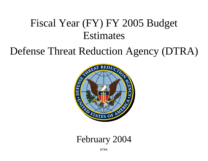# Fiscal Year (FY) FY 2005 Budget Estimates

## Defense Threat Reduction Agency (DTRA)



## February 2004

DTRA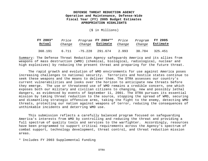(\$ in Millions)

| FY 2003* | <i>Price</i> | Change  | Program <b>FY 2004**</b> | Price  | Program | <b>FY 2005</b> |
|----------|--------------|---------|--------------------------|--------|---------|----------------|
| Actual   | Change       |         | Estimate                 | Change | Change  | Estimate       |
| 360.191  | 6.711        | -75.228 | 291.674                  | 2.993  | 30.784  | 325.451        |

Summary: The Defense Threat Reduction Agency safeguards America and its allies from weapons of mass destruction (WMD) (chemical, biological, radiological, nuclear and high explosives) by reducing the present threat and preparing for the future threat.

The rapid growth and evolution of WMD environments for use against America poses increasing challenges to national security. Terrorists and hostile states continue to seek these weapons and the means to deliver them. The DTRA assesses our country's current vulnerabilities and looks over the horizon to anticipate new threats before they emerge. The use or threatened use of WMD remains a credible concern, one which exposes both our military and civilian citizens to changing, new and possibly lethal dangers, as evidenced by events of September 11, 2001. The DTRA pursues its essential mission by taking threat reduction to the source, stopping the spread of WMD, securing and dismantling strategic offensive arms, taking the fight to the enemy, detecting WMD threats, protecting our nation against weapons of terror, reducing the consequences of unthinkable incidents and deterring WMD use.

This submission reflects a carefully balanced program focused on safeguarding America's interests from WMD by controlling and reducing the threat and providing a full spectrum of quality tools and services to the warfighter. Accordingly, resources have been programmed to support critical requirements across the Agency's spectrum of combat support*,* technology development, threat control, and threat reduction mission areas.

\* Includes FY 2003 Supplemental Funding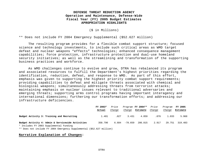(\$ in Millions)

\*\* Does not include FY 2004 Emergency Supplemental (\$52.627 million)

The resulting program provides for a flexible combat support structure; focused science and technology investments, to include such critical areas as WMD target defeat and nuclear weapons "effects" technologies; enhanced consequence management capabilities; force protection, infrastructure protection and dual-use homeland security initiatives; as well as the streamlining and transformation of the supporting business practices and workforce.

As WMD challenges continue to evolve and grow, DTRA has rebalanced its program and associated resources to fulfill the Department's highest priorities regarding the identification, reduction, defeat, and response to WMD. As part of this effort, emphasis was given to supporting the highest priority combat support requirements; providing capabilities to defeat and mitigate threats associated with chemical and biological weapons; simultaneously addressing threats from terrorist attacks; maintaining emphasis on nuclear issues relevant to traditional adversaries and emerging threats; supporting arms control programs having important interagency and international dimensions; furthering our transformation efforts; and addressing our infrastructure deficiencies.

|                                                                                              | FY 2003* |        | Price<br>Program FY 2004** |          |        | <i>Price</i> | Program  | FY 2005 |
|----------------------------------------------------------------------------------------------|----------|--------|----------------------------|----------|--------|--------------|----------|---------|
|                                                                                              | Actual   | Change | Change                     | Estimate | Change | Change       | Estimate |         |
| Budget Activity 3: Training and Recruiting                                                   | 1.401    | .027   | 3.431                      | 4.859    | .076   | 1.033        | 5.968    |         |
| Budget Activity 4: Admin & Servicewide Activities<br>* Includes FY 2003 Supplemental Funding | 358.790  | 6.684  | $-78.659$                  | 286.815  | 2.917  | 29.751       | 319.483  |         |

\*\* Does not include FY 2004 Emergency Supplemental (\$52.627 million)

## **Narrative Explanation of Changes:**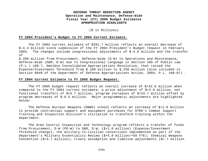#### (\$ in Millions)

#### **FY 2004 President's Budget to FY 2004 Current Estimate**:

The FY 2004 current estimate of \$291.7 million reflects an overall decrease of \$-4.4 million since submission of the FY 2004 President's Budget request in February 2003. The changes include congressional adjustments of \$-4.6 million and the transfer of

\$.200 million from Procurement, Defense-Wide (D-W) to Operations and Maintenance, Defense-Wide (O&M, D-W) due to Congressional Language in Section 106 of Public Law (P.L.) 108-7, Omnibus Consolidated Appropriations Resolution, that raised the Expense/Investment Threshold from \$.100 million to \$.250 million (also included in Section 8040 of the Department of Defense Appropriations Action, 2004, P.L. 108-87) .

#### **FY 2004 Current Estimate to FY 2005 Budget Request:**

The FY 2005 budget request reflects an overall increase of \$+33.8 million when compared to the FY 2004 current estimate, a price adjustment of \$+2.9 million, net functional transfers of \$+5.7 million, program increases of \$+33.7 million offset by program decreases of \$-8.5 million. Major programmatic adjustments are highlighted below:

The Defense Nuclear Weapons (DNWS) school reflects an increase of \$+1.0 million to provide contractual support and equipment purchases for DTRA's Combat Support Training and Inspection Division's initiative to transform training within the Department.

The Arms Control Inspection and Technology program reflects a transfer of funds from Procurement, D-W (PD-W) to O&M, D-W, (\$+1.0 million) (Expense/Investment Threshold change); the military-to-civilian conversions implemented as part of the Department's Military Essentiality Review (\$+5.8 million/+59 FTE); Chemical Weapons Convention  $(\frac{1}{5}+3.7 \text{ million})$ ; treaty assumption and timeline adjustments  $(\frac{1}{5}+.7 \text{ million})$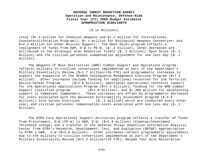(\$ in Millions)

total (\$+.5 million for Chemical Weapons and \$+.2 million for International Counterproliferation Program)); \$+.1 million for Biological Weapons Convention; and \$+2.3 million for Other Mission Support. The Open Skies program reflects a realignment of funds from O&M, D-W to PD-W, (\$-.3 million); other decreases are attributed to the Strategic Arms Reduction Treaty (\$-.2 million); Open Skies (\$-.2 million) and the civilian personnel compensation adjustment for one less day (\$-.1 million).

The Weapons of Mass Destruction (WMD) Combat Support and Operations program reflects military-to-civilian conversions implemented as part of the Department's Military Essentiality Review (\$+1.7 million/+16 FTE) and programmatic increases to support the expansion of the OCONUS Consequence Management Exercise Program (\$+7.3 million). Other increases include funding for additional resources for the Terrorist Device Defeat Program (\$+2.0 million); additional operational technical support for the Operational Applications Program (\$+1.5 million); funding for the WMD Combat Support classified program (\$+1.0 million); and \$+.300 million for warplanning support to Combatant Commanders. These increases are offset by programmatic decreases for costs associated with the Balanced Survivability Assessment program (\$-3.6 million); Site Survey Exercises (\$-.3 million) which are conducted every other year; and civilian personnel compensation costs associated with one less day (\$-.1 million).

The DTRA Core Operational Support Activities program reflects a transfer of funds from Procurement, D-W (PD-W) to O&M, D-W, (\$+1.9 million) (Expense/Investment Threshold change) and a transfer of the Defense Threat Reduction Information Analysis Center from DTRA's Research, Development, Test, and Evaluation (RDT&E) appropriation to DTRA's O&M, D-W (\$+3.0 million). Other increases reflect programmatic adjustments due to the military-to-civilian conversions implemented as part of the Department's Military Essentiality Review (\$+3.3 million/+33 FTE); Nevada Test Site Restoration

DTRA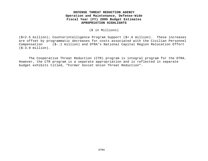(\$ in Millions)

(\$+2.5 million); Counterintelligence Program Support (\$+.6 million). These increases are offset by programmatic decreases for costs associated with the Civilian Personnel Compensation (\$-.1 million) and DTRA's National Capital Region Relocation Effort (\$-3.9 million).

 The Cooperative Threat Reduction (CTR) program is integral program for the DTRA. However, the CTR program is a separate appropriation and is reflected in separate budget exhibits titled, "Former Soviet Union Threat Reduction".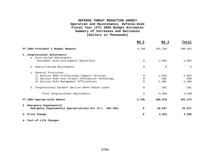|                                                            | BA 3     | BA 4      | Total          |
|------------------------------------------------------------|----------|-----------|----------------|
| FY 2004 President's Budget Request                         | 4,796    | 291,246   | 296,042        |
| 1. Congressional Adjustments<br>a. Distributed Adjustments |          |           |                |
| Southwest Asia Contingency Operations                      | $\Omega$ | $-1.056$  | $-1,056$       |
| b. Undistributed Adjustments                               | $\Omega$ | 0         | $\overline{0}$ |
| c. General Provisions                                      |          |           |                |
| 1) Section 8094-Professional Support Services              | $\Omega$ | $-1$ ,654 | $-1,654$       |
| 2) Section 8101-Cost Growth Information Technology         | $\Omega$ | $-268$    | $-268$         |
| 3) Section 8126-Management Efficiencies                    | $\Omega$ | $-1,409$  | $-1,409$       |
| d. Congressional Earmark Section 8044-Indian Lands         | $\Omega$ | $-181$    | $-181$         |
| Total Congressional Adjustments                            | $\Omega$ | $-4.568$  | $-4,568$       |
| FY 2004 Appropriated Amount                                | 4,796    | 286,678   | 291,474        |
| 2. Emergency Supplemental                                  |          |           |                |
| Emergency Supplemental Appropriations Act (P.L. 108-106)   | 0        | 52,627    | 52,627         |
| 3. Price Change                                            | 8        | 2,022     | 2,030          |

**4. Fact-of-Life Changes**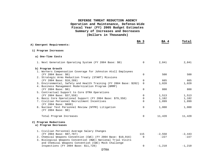| A) Emergent Requirements:                                                 | BA 3           | BA 4     | Total    |
|---------------------------------------------------------------------------|----------------|----------|----------|
| 1) Program Increases                                                      |                |          |          |
| a) One-Time Costs                                                         |                |          |          |
| 1. Next Generation Operating System (FY 2004 Base: \$0)                   | $\overline{0}$ | 2,841    | 2,841    |
| b) Program Growth                                                         |                |          |          |
| 1. Workers Compensation Coverage for Johnston Atoll Employees             |                |          |          |
| (FY 2004 Base: \$0)                                                       | $\Omega$       | 500      | 500      |
| 2. Strategic Arms Reduction Treaty (START) Missions                       |                |          |          |
| (FY 2004 Base: \$10,289)                                                  | $\Omega$       | 665      | 665      |
| 3. Environmental, Safety and Health Training (FY 2004 Base: \$202)        | $\Omega$       | 1,020    | 1,020    |
| 4. Business Management Modernization Program (BMMP)                       |                |          |          |
| (FY 2004 Base: \$0)                                                       | 0              | 800      | 800      |
| 5. Contractual Support to Core DTRA Operations                            |                |          |          |
| (FY 2004 Base: \$37,559)                                                  | $\Omega$       | 1,513    | 1,513    |
| 6. Basic Core Operational Support (FY 2004 Base: \$79,358)                | 0              | 1,182    | 1,182    |
| 7. Civilian Personnel Recruitment Incentives<br>(FY 2004 Base: \$600)     | $\Omega$       | 1,899    | 1,899    |
| 8. Nuclear Test Personnel Review (NTPR) Litigation<br>(FY 2004 Base: \$0) | $\Omega$       | 1,000    | 1,000    |
| Total Program Increases                                                   | 0              | 11,420   | 11,420   |
| 2) Program Reductions                                                     |                |          |          |
| a) Program Decreases                                                      |                |          |          |
| 1. Civilian Personnel Average Salary Changes                              |                |          |          |
| (FY 2004 Base: \$97,787)                                                  | 115            | $-2,558$ | $-2,443$ |
| 2. Chemical Weapons Convention (CWC) (FY 2004 Base: \$10,916)             | 0              | $-227$   | $-227$   |
| 3. Biological Weapons Convention (BWC) National Trial Visits              |                |          |          |
| and Chemical Weapons Convention (CWC) Mock Challenge                      |                |          |          |
| Inspections (FY 2004 Base: \$11,728)                                      | 0              | $-1,210$ | $-1,210$ |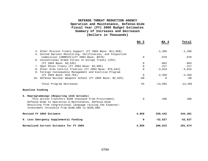|                                                                                                                                                                                                                                     | BA 3     | BA 4      | Total     |
|-------------------------------------------------------------------------------------------------------------------------------------------------------------------------------------------------------------------------------------|----------|-----------|-----------|
| 4. Other Mission Treaty Support (FY 2004 Base: \$11,058)                                                                                                                                                                            |          | $-1,286$  | $-1,286$  |
| 5. United Nations Monitoring, Verification, and Inspection<br>Commission (UNMOVIC) (FY 2004 Base: \$978)                                                                                                                            | $\Omega$ | $-978$    | $-978$    |
| 6. Conventional Armed Forces in Europe Treaty (CFE)                                                                                                                                                                                 |          |           |           |
| (FY 2004 Base: \$3,535)                                                                                                                                                                                                             | $\Omega$ | $-863$    | $-863$    |
| 7. Open Skies Treaty (FY 2004 Base: \$4,905)                                                                                                                                                                                        | $\Omega$ | $-217$    | $-217$    |
| 8. Other Arms Control Treaties (FY 2004 Base: \$76,644)                                                                                                                                                                             | $\Omega$ | $-3,816$  | $-3,816$  |
| 9. Foreign Consequence Management and Exercise Program                                                                                                                                                                              |          |           |           |
| (FY 2004 Base: \$18,794)                                                                                                                                                                                                            | $\Omega$ | $-2,350$  | $-2,350$  |
| 10. Defense Nuclear Weapons School (FY 2004 Base: \$2,925)                                                                                                                                                                          | $-60$    | $\Omega$  | $-60$     |
| Total Program Decreases                                                                                                                                                                                                             | 55       | $-13,505$ | $-13,450$ |
| Baseline Funding                                                                                                                                                                                                                    |          |           |           |
| 5. Reprogrammings (Requiring 1415 Actions)                                                                                                                                                                                          |          |           |           |
| This action transfers \$200 thousand from Procurement,<br>Defense-Wide to Operation & Maintenance, Defense-Wide<br>Resulting from congressional language raising the Expense/-<br>Investment threshold from \$100,000 to \$250,000. | $\Omega$ | 200       | 200       |
| Revised FY 2004 Estimate                                                                                                                                                                                                            | 4,859    | 339,442   | 344,301   |
| 6. Less Emergency Supplemental Funding                                                                                                                                                                                              | $\Omega$ | $-52,627$ | $-52,627$ |
| Normalized Current Estimate for FY 2004                                                                                                                                                                                             | 4,859    | 286,815   | 291,674   |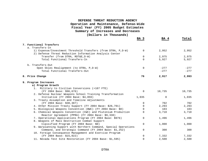|                                                                                                                          | BA 3        | BA 4   | Total  |
|--------------------------------------------------------------------------------------------------------------------------|-------------|--------|--------|
| 7. Functional Transfers                                                                                                  |             |        |        |
| a. Transfers-In                                                                                                          |             |        |        |
| 1) Expense/Investment Threshold Transfers (from DTRA, P, D-W)<br>2) Defense Threat Reduction Information Analysis Center | $\mathbf 0$ | 2,952  | 2,952  |
| Transfer (from DTRA, RDT&E, D-W)                                                                                         | $\Omega$    | 2,975  | 2,975  |
| Total Functional Transfers-In                                                                                            | $\Omega$    | 5,927  | 5,927  |
| b. Transfers-Out                                                                                                         |             |        |        |
| Open Skies Realignment (to DTRA, P, D-W)                                                                                 | $\Omega$    | $-277$ | $-277$ |
| Total Functional Transfers-Out                                                                                           |             | $-277$ | $-277$ |
| 8. Price Change                                                                                                          | 76          | 2,917  | 2,993  |
| 9. Program Increases                                                                                                     |             |        |        |
| a) Program Growth                                                                                                        |             |        |        |
| 1. Military to Civilian Conversions (+107 FTE)                                                                           |             |        |        |
| (FY 2004 Base: \$96,676)                                                                                                 | $\Omega$    | 10,735 | 10,735 |
| 2. Defense Nuclear Weapons School Training Transformation                                                                |             |        |        |
| Initiative (FY 2004 Base: \$4,859)                                                                                       | 1,035       | 0      | 1,035  |
| 3. Treaty Assumption and Timeline Adjustments                                                                            |             |        |        |
| (FY 2004 Base: \$30,387)                                                                                                 | $\Omega$    | 702    | 702    |
| 4. Other Mission Treaty Support (FY 2004 Base: \$26,701)                                                                 | $\Omega$    | 2,293  | 2,293  |
| 5. Biological Weapons Convention (BWC) (FY 2004 Base: \$0)                                                               | $\Omega$    | 103    | 103    |
| 6. Chemical Weapons Convention (CWC) and Plutonium Production                                                            | $\Omega$    | 3,710  | 3,710  |
| Reactor Agreement (PPRA) (FY 2004 Base: \$9,338)                                                                         |             |        |        |
| 7. Operational Applications Program (FY 2004 Base: \$976)                                                                | $\Omega$    | 1,496  | 1,496  |
| 8. Weapons of Mass Destruction Combat Support                                                                            |             |        |        |
| Classified Program (FY 2004 Base: \$0)                                                                                   | $\Omega$    | 1,000  | 1,000  |
| 9. Warplanning Support with Northern Command, Special Operations                                                         |             |        |        |
| Command, and Strategic Command (FY 2004 Base: \$1,252)                                                                   | $\Omega$    | 300    | 300    |
| 10. Foreign Consequence Management and Exercise Program                                                                  |             |        |        |
| (FY 2004 Base: \$15,022)                                                                                                 | $\Omega$    | 7,332  | 7,332  |
| 11. Nevada Test Site Restoration (FY 2004 Base: \$1,595)                                                                 | $\Omega$    | 2,500  | 2,500  |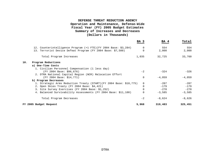|                                                                     | BA 3         | BA 4     | Total    |
|---------------------------------------------------------------------|--------------|----------|----------|
| 12. Counterintelligence Program (+1 FTE)(FY 2004 Base: \$3,284)     | $\Omega$     | 554      | 554      |
| 13. Terrorist Device Defeat Program (FY 2004 Base: \$7,500)         | <sup>0</sup> | 2,000    | 2,000    |
| Total Program Increases                                             | 1,035        | 32,725   | 33,760   |
| 10.<br>Program Reductions                                           |              |          |          |
| a) One-Time Costs                                                   |              |          |          |
| 1. Civilian Personnel Compensation (1 less day)                     |              |          |          |
| (FY 2004 Base: \$96,676)                                            | $-2$         | $-324$   | $-326$   |
| 2. DTRA National Capital Region (NCR) Relocation Effort             |              |          |          |
| (FY 2004 Base: \$14,771)                                            | $\Omega$     | $-4,059$ | $-4,059$ |
| b) Program Decreases                                                |              |          |          |
| 1. Strategic Arms Reduction Treaty (START) (FY 2004 Base: \$10,775) | $\Omega$     | $-207$   | $-207$   |
| 2. Open Skies Treaty (FY 2004 Base: \$4,421)                        | 0            | $-179$   | $-179$   |
| 3. Site Survey Exercises (FY 2004 Base: \$1,252)                    | <sup>n</sup> | $-270$   | $-270$   |
| 4. Balanced Survivability Assessments (FY 2004 Base: \$11,100)      | $\Omega$     | $-3,585$ | $-3,585$ |
| Total Program Decreases                                             | $-2$         | $-8,624$ | $-8,626$ |
| FY 2005 Budget Request                                              | 5,968        | 319,483  | 325,451  |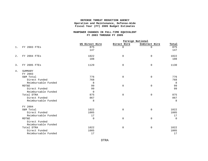#### **MANPOWER CHANGES IN FULL-TIME EQUIVALENT FY 2003 THROUGH FY 2005**

|       |                     | Foreign National |             |               |          |  |  |  |  |
|-------|---------------------|------------------|-------------|---------------|----------|--|--|--|--|
|       |                     | US Direct Hire   | Direct Hire | Indirect Hire | Total    |  |  |  |  |
| $1$ . | <b>FY 2003 FTES</b> | 875              | $\Omega$    | $\Omega$      | 875      |  |  |  |  |
|       |                     | 147              |             |               | 147      |  |  |  |  |
| 2.    | FY 2004 FTES        | 1022             | $\mathbf 0$ | $\mathbf 0$   | 1022     |  |  |  |  |
|       |                     | 108              |             |               | 108      |  |  |  |  |
| 3.    | <b>FY 2005 FTES</b> | 1129             | $\mathbf 0$ | 0             | 1130     |  |  |  |  |
| 4.    | SUMMARY             |                  |             |               |          |  |  |  |  |
|       | FY 2003             |                  |             |               |          |  |  |  |  |
|       | O&M Total           | 776              | $\mathbf 0$ | 0             | 776      |  |  |  |  |
|       | Direct Funded       | 768              |             |               | 768      |  |  |  |  |
|       | Reimbursable Funded | 8                |             |               | 8        |  |  |  |  |
|       | <b>RDT&amp;E</b>    | 99               | $\mathbf 0$ | 0             | 99       |  |  |  |  |
|       | Direct Funded       | 99               |             |               | 99       |  |  |  |  |
|       | Reimbursable Funded | $\Omega$         |             |               |          |  |  |  |  |
|       | Total DTRA          | 875              | $\mathbf 0$ | 0             | 875      |  |  |  |  |
|       | Direct Funded       | 867              |             |               | 867      |  |  |  |  |
|       | Reimbursable Funded | 8                |             |               | 8        |  |  |  |  |
|       | FY 2004             |                  |             |               |          |  |  |  |  |
|       | O&M Total           | 1022             | $\mathbf 0$ | $\mathbf 0$   | 1022     |  |  |  |  |
|       | Direct Funded       | 1005             |             |               | 1005     |  |  |  |  |
|       | Reimbursable Funded | 17               |             |               | 17       |  |  |  |  |
|       | <b>RDT&amp;E</b>    | $\mathbf 0$      | $\mathbf 0$ | $\mathbf 0$   | $\Omega$ |  |  |  |  |
|       | Direct Funded       |                  |             |               |          |  |  |  |  |
|       | Reimbursable Funded |                  |             |               |          |  |  |  |  |
|       | Total DTRA          | 1022             | $\mathbf 0$ | $\mathbf 0$   | 1022     |  |  |  |  |
|       | Direct Funded       | 1005             |             |               | 1005     |  |  |  |  |
|       | Reimbursable Funded | 17               |             |               | 17       |  |  |  |  |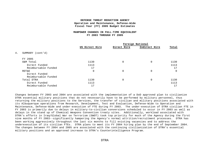#### **MANPOWER CHANGES IN FULL-TIME EQUIVALENT FY 2003 THROUGH FY 2005**

**Foreign National**

| US Direct Hire | Direct Hire | Indirect Hire | Total            |
|----------------|-------------|---------------|------------------|
|                |             |               |                  |
|                |             |               |                  |
| 1130           | $\Omega$    | 0             | 1130             |
| 1113           |             |               | 1113             |
| 17             |             |               | 17               |
| $\Omega$       | $\Omega$    | 0             | $\Omega$         |
|                |             |               |                  |
|                |             |               |                  |
| 1130           | $\Omega$    | 0             | 1130             |
| 1113           |             |               | 1113             |
| 17             |             |               | 17               |
|                |             |               | Foreign National |

Changes between FY 2003 and 2004 are associated with the implementation of a DoD approved plan to civilianize DTRA essential military positions that do not necessarily have to be performed by military personnel, thus returning the military positions to the Services, the transfer of civilian and military positions associated with its Albuquerque operations from Research, Development, Test and Evaluation, Defense-Wide to Operation and Maintenance, Defense-Wide and under-execution of FTE during FY 2003. The under-execution of DTRA civilian FTE in FY 2003 is primarily due to delays in military-to-civilian conversions scheduled to occur in FY 2003 as well as delays in the stand up of Chemical Weapons Convention treaty sites. Additionally, workload associated with DTRA's efforts in Iraq/Global War on Terrorism (GWOT) took top priority for much of the Agency during the first nine months of FY 2003--significantly hampering the Agency's normal attrition/recruitment processes. DTRA has been working aggressively throughout the last six months to fill existing vacancies and to address the underexecution of its civilian FTEs. DTRA plans to meet its FY 2004 hiring plan by the end of September 2004. The changes between FY 2004 and 2005 are associated with the continuing civilianization of DTRA's essential military positions and an approved increase to DTRA's Counterintelligence Program.

DTRA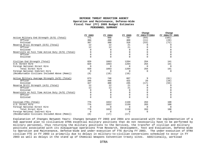**Change Change**

|                                                   |             |          |          | cuange         | cuange          |
|---------------------------------------------------|-------------|----------|----------|----------------|-----------------|
|                                                   | FY 2003     | FY 2004  | FY 2005  | FY 2003/FY2004 | FY 2004/FY 2005 |
| Active Military End Strength (E/S) (Total)        | 771         | 888      | 787      | (64)           | (101)           |
| Officer                                           | 384         | 498      | 469      | (11)           | (29)            |
| Enlisted                                          | 387         | 390      | 318      | (53)           | (72)            |
| Reserve Drill Strength (E/S) (Total)              | 12          | 12       | 21       | $\Omega$       | 9               |
| Officer                                           | 12          | 12       | 21       |                |                 |
| Enlisted                                          | 0           | $\Omega$ | $\Omega$ |                |                 |
| Reservists on Full Time Active Duty (E/S) (Total) |             | $\Omega$ | 0        |                |                 |
| Officer                                           |             | $\Omega$ | $\Omega$ |                |                 |
| Enlisted                                          | $\Omega$    | $\Omega$ | $\Omega$ | $\Omega$       |                 |
| Civilian End Strength (Total)                     | 829         | 1063     | 1204     | 254            | 141             |
| U.S. Direct Hire                                  | 829         | 1063     | 1204     | 254            | 141             |
| Foreign National Direct Hire                      | $\Omega$    | $\Omega$ | $\Omega$ | $\Omega$       | $\Omega$        |
| Total Direct Hire                                 | 829         | 1063     | 1204     | 254            | 141             |
| Foreign National Indirect Hire                    | $\Omega$    | $\Omega$ | $\Omega$ | $\Omega$       | $\Omega$        |
| (Reimbursable Civilians Included Above (Memo))    | (8)         | (18)     | (18)     |                |                 |
| Active Military Average Strength (A/S) (Total)    | 673         | 748      | 667      | 9              | (81)            |
| Officer                                           | 346         | 448      | 422      | 26             | (26)            |
| Enlisted                                          | 327         | 300      | 245      | (17)           | (55)            |
| Reserve Drill Strength (A/S) (Total)              | 12          | 12       | 21       | $\Omega$       | 9               |
| Officer                                           | 12          | 12       | 21       | $\Omega$       | 9               |
| Enlisted                                          | 0           | $\Omega$ | $\Omega$ | $\Omega$       |                 |
| Reservists on Full Time Active Duty (A/S) (Total) | U           | 0        | 0        | O              |                 |
| Officer                                           | 0           | 0        | 0        | 0              |                 |
| Enlisted                                          | 0           | $\Omega$ | $\Omega$ | $\Omega$       | U               |
| Civilian FTEs (Total)                             | 776         | 1022     | 1130     | 263            | 108             |
| U.S. Direct Hire                                  | 776         | 1022     | 1130     | 263            | 108             |
| Foreign National Direct Hire                      | $\mathbf 0$ | $\Omega$ | 0        | $\mathbf 0$    | $\Omega$        |
| Total Direct Hire                                 | 776         | 1022     | 1130     | 263            | 108             |
| Foreign National Indirect Hire                    | $\Omega$    | $\Omega$ | $\Omega$ | $\mathbf 0$    | $\Omega$        |
| (Reimbursable Civilians Included Above (Memo))    | (8)         | (17)     | (17)     |                |                 |

Explanation of Changes Between Years: Changes between FY 2003 and 2004 are associated with the implementation of a DoD approved plan to civilianize DTRA essential military positions that do not necessarily have to be performed by military personnel, thus returning the military positions to the Services, the transfer of civilian and military positions associated with its Albuquerque operations from Research, Development, Test and Evaluation, Defense-Wide to Operation and Maintenance, Defense-Wide and under-execution of FTE during FY 2003. The under-execution of DTRA civilian FTE in FY 2003 is primarily due to delays in military-to-civilian conversions scheduled to occur in FY 2003 as well as delays in the stand up of Chemical Weapons Convention treaty sites. Additionally, workload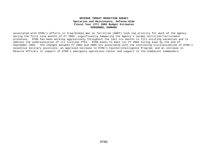associated with DTRA's efforts in Iraq/Global War on Terrorism (GWOT) took top priority for much of the Agency during the first nine months of FY 2003--significantly hampering the Agency's normal attrition/recruitment processes. DTRA has been working aggressively throughout the last six months to fill existing vacancies and to address the underexecution of its civilian FTEs. DTRA plans to meet its FY 2004 hiring plan by the end of September 2004. The changes between FY 2004 and 2005 are associated with the continuing civilianization of DTRA's essential military positions; an approved increase to DTRA's Counterintelligence Program; and an increase in Reserve Officers in support of DTRA's emergency operations center and support to the Combatant Commanders.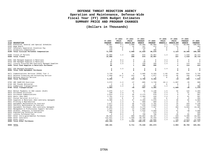## **DEFENSE THREAT REDUCTION AGENCY Operation and Maintenance, Defense-Wide Fiscal Year (FY) 2005 Budget Estimates SUMMARY PRICE AND PROGRAM CHANGES**

**(Dollars in Thousands)**

|             |                                                                                                                                                                                                                                                                                                                                                                                                                                                                                                                                                                                                                                                                                                                                                                                                                                                                                                                                                                                                                                                                                                                                                                                                                                                                                                                                                                                                                                                                                               | FY 2004                                                                                                                                                                                            | FY 2004                                                                                                                                               | FY 2004                                                                                                                                                                              |                                                                                                                                                                                                                             | FY 2005                                                                                                                                                                                                                | FY 2005                                                                                                                                    | FY 2005                                                                                                                                         |                                                                                                                                                                                                  |
|-------------|-----------------------------------------------------------------------------------------------------------------------------------------------------------------------------------------------------------------------------------------------------------------------------------------------------------------------------------------------------------------------------------------------------------------------------------------------------------------------------------------------------------------------------------------------------------------------------------------------------------------------------------------------------------------------------------------------------------------------------------------------------------------------------------------------------------------------------------------------------------------------------------------------------------------------------------------------------------------------------------------------------------------------------------------------------------------------------------------------------------------------------------------------------------------------------------------------------------------------------------------------------------------------------------------------------------------------------------------------------------------------------------------------------------------------------------------------------------------------------------------------|----------------------------------------------------------------------------------------------------------------------------------------------------------------------------------------------------|-------------------------------------------------------------------------------------------------------------------------------------------------------|--------------------------------------------------------------------------------------------------------------------------------------------------------------------------------------|-----------------------------------------------------------------------------------------------------------------------------------------------------------------------------------------------------------------------------|------------------------------------------------------------------------------------------------------------------------------------------------------------------------------------------------------------------------|--------------------------------------------------------------------------------------------------------------------------------------------|-------------------------------------------------------------------------------------------------------------------------------------------------|--------------------------------------------------------------------------------------------------------------------------------------------------------------------------------------------------|
|             | FY 2003                                                                                                                                                                                                                                                                                                                                                                                                                                                                                                                                                                                                                                                                                                                                                                                                                                                                                                                                                                                                                                                                                                                                                                                                                                                                                                                                                                                                                                                                                       | PRICE                                                                                                                                                                                              | PRICE                                                                                                                                                 | PROGRAM                                                                                                                                                                              | FY 2004                                                                                                                                                                                                                     | PRICE                                                                                                                                                                                                                  | PRICE                                                                                                                                      | PROGRAM                                                                                                                                         | FY 2005                                                                                                                                                                                          |
| DESCRIPTION | PROGRAM                                                                                                                                                                                                                                                                                                                                                                                                                                                                                                                                                                                                                                                                                                                                                                                                                                                                                                                                                                                                                                                                                                                                                                                                                                                                                                                                                                                                                                                                                       | GROWTH %                                                                                                                                                                                           | GROWTH AMT                                                                                                                                            | <b>GROWTH</b>                                                                                                                                                                        | PROGRAM                                                                                                                                                                                                                     | <b>GROWTH %</b>                                                                                                                                                                                                        | GROWTH AMT                                                                                                                                 | <b>GROWTH</b>                                                                                                                                   | PROGRAM                                                                                                                                                                                          |
|             | 70,697                                                                                                                                                                                                                                                                                                                                                                                                                                                                                                                                                                                                                                                                                                                                                                                                                                                                                                                                                                                                                                                                                                                                                                                                                                                                                                                                                                                                                                                                                        | 4.1                                                                                                                                                                                                | 2,898                                                                                                                                                 | 22,309                                                                                                                                                                               | 95,904                                                                                                                                                                                                                      | 2.2                                                                                                                                                                                                                    | 2,113                                                                                                                                      | 10,506                                                                                                                                          | 108,523                                                                                                                                                                                          |
|             | 265                                                                                                                                                                                                                                                                                                                                                                                                                                                                                                                                                                                                                                                                                                                                                                                                                                                                                                                                                                                                                                                                                                                                                                                                                                                                                                                                                                                                                                                                                           | 4.1                                                                                                                                                                                                | 10                                                                                                                                                    | 197                                                                                                                                                                                  | 472                                                                                                                                                                                                                         | 2.2                                                                                                                                                                                                                    | -11                                                                                                                                        | $\Omega$                                                                                                                                        | 483                                                                                                                                                                                              |
|             | 739                                                                                                                                                                                                                                                                                                                                                                                                                                                                                                                                                                                                                                                                                                                                                                                                                                                                                                                                                                                                                                                                                                                                                                                                                                                                                                                                                                                                                                                                                           | $\mathbf 0$                                                                                                                                                                                        | $\circ$                                                                                                                                               | $-739$                                                                                                                                                                               | $^{\circ}$                                                                                                                                                                                                                  | $^{\circ}$                                                                                                                                                                                                             | $\Omega$                                                                                                                                   | $\Omega$                                                                                                                                        |                                                                                                                                                                                                  |
|             | 239                                                                                                                                                                                                                                                                                                                                                                                                                                                                                                                                                                                                                                                                                                                                                                                                                                                                                                                                                                                                                                                                                                                                                                                                                                                                                                                                                                                                                                                                                           | $\circ$                                                                                                                                                                                            | $\overline{0}$                                                                                                                                        | 61                                                                                                                                                                                   | 300                                                                                                                                                                                                                         | $\circ$                                                                                                                                                                                                                | $^{\circ}$                                                                                                                                 | $\overline{0}$                                                                                                                                  | 300                                                                                                                                                                                              |
|             | 71,940                                                                                                                                                                                                                                                                                                                                                                                                                                                                                                                                                                                                                                                                                                                                                                                                                                                                                                                                                                                                                                                                                                                                                                                                                                                                                                                                                                                                                                                                                        |                                                                                                                                                                                                    | 2,908                                                                                                                                                 |                                                                                                                                                                                      |                                                                                                                                                                                                                             |                                                                                                                                                                                                                        | 2,124                                                                                                                                      | 10,506                                                                                                                                          | 109,306                                                                                                                                                                                          |
|             | 15,886                                                                                                                                                                                                                                                                                                                                                                                                                                                                                                                                                                                                                                                                                                                                                                                                                                                                                                                                                                                                                                                                                                                                                                                                                                                                                                                                                                                                                                                                                        | 1.3                                                                                                                                                                                                | 206                                                                                                                                                   | 875                                                                                                                                                                                  | 16,967                                                                                                                                                                                                                      | 1.4                                                                                                                                                                                                                    | 237                                                                                                                                        | 1,510                                                                                                                                           | 18,714                                                                                                                                                                                           |
|             |                                                                                                                                                                                                                                                                                                                                                                                                                                                                                                                                                                                                                                                                                                                                                                                                                                                                                                                                                                                                                                                                                                                                                                                                                                                                                                                                                                                                                                                                                               |                                                                                                                                                                                                    | 206                                                                                                                                                   |                                                                                                                                                                                      |                                                                                                                                                                                                                             |                                                                                                                                                                                                                        | 237                                                                                                                                        |                                                                                                                                                 | 18,714                                                                                                                                                                                           |
|             | 6                                                                                                                                                                                                                                                                                                                                                                                                                                                                                                                                                                                                                                                                                                                                                                                                                                                                                                                                                                                                                                                                                                                                                                                                                                                                                                                                                                                                                                                                                             | 8.3                                                                                                                                                                                                | $^{\circ}$                                                                                                                                            | -6                                                                                                                                                                                   | $^{\circ}$                                                                                                                                                                                                                  | 3.3                                                                                                                                                                                                                    | $\Omega$                                                                                                                                   | $\overline{0}$                                                                                                                                  | $\mathbf{0}$                                                                                                                                                                                     |
|             |                                                                                                                                                                                                                                                                                                                                                                                                                                                                                                                                                                                                                                                                                                                                                                                                                                                                                                                                                                                                                                                                                                                                                                                                                                                                                                                                                                                                                                                                                               |                                                                                                                                                                                                    |                                                                                                                                                       |                                                                                                                                                                                      |                                                                                                                                                                                                                             |                                                                                                                                                                                                                        |                                                                                                                                            |                                                                                                                                                 | $\Omega$                                                                                                                                                                                         |
|             |                                                                                                                                                                                                                                                                                                                                                                                                                                                                                                                                                                                                                                                                                                                                                                                                                                                                                                                                                                                                                                                                                                                                                                                                                                                                                                                                                                                                                                                                                               |                                                                                                                                                                                                    |                                                                                                                                                       |                                                                                                                                                                                      |                                                                                                                                                                                                                             |                                                                                                                                                                                                                        |                                                                                                                                            |                                                                                                                                                 | 413                                                                                                                                                                                              |
|             |                                                                                                                                                                                                                                                                                                                                                                                                                                                                                                                                                                                                                                                                                                                                                                                                                                                                                                                                                                                                                                                                                                                                                                                                                                                                                                                                                                                                                                                                                               |                                                                                                                                                                                                    |                                                                                                                                                       |                                                                                                                                                                                      |                                                                                                                                                                                                                             |                                                                                                                                                                                                                        |                                                                                                                                            |                                                                                                                                                 | 413                                                                                                                                                                                              |
|             | $\overline{0}$                                                                                                                                                                                                                                                                                                                                                                                                                                                                                                                                                                                                                                                                                                                                                                                                                                                                                                                                                                                                                                                                                                                                                                                                                                                                                                                                                                                                                                                                                | 1.3                                                                                                                                                                                                | $\mathbf{0}$                                                                                                                                          | $\Omega$                                                                                                                                                                             | $^{\circ}$                                                                                                                                                                                                                  | 1.4                                                                                                                                                                                                                    | $\Omega$                                                                                                                                   | $\overline{0}$                                                                                                                                  | $\Omega$                                                                                                                                                                                         |
|             |                                                                                                                                                                                                                                                                                                                                                                                                                                                                                                                                                                                                                                                                                                                                                                                                                                                                                                                                                                                                                                                                                                                                                                                                                                                                                                                                                                                                                                                                                               |                                                                                                                                                                                                    |                                                                                                                                                       |                                                                                                                                                                                      |                                                                                                                                                                                                                             |                                                                                                                                                                                                                        |                                                                                                                                            |                                                                                                                                                 | $\Omega$                                                                                                                                                                                         |
|             | 3,720                                                                                                                                                                                                                                                                                                                                                                                                                                                                                                                                                                                                                                                                                                                                                                                                                                                                                                                                                                                                                                                                                                                                                                                                                                                                                                                                                                                                                                                                                         | $\circ$                                                                                                                                                                                            | $^{\circ}$                                                                                                                                            | 2,605                                                                                                                                                                                | 6,325                                                                                                                                                                                                                       | $-1.03$                                                                                                                                                                                                                | $-65$                                                                                                                                      | $-534$                                                                                                                                          | 5,726                                                                                                                                                                                            |
|             |                                                                                                                                                                                                                                                                                                                                                                                                                                                                                                                                                                                                                                                                                                                                                                                                                                                                                                                                                                                                                                                                                                                                                                                                                                                                                                                                                                                                                                                                                               |                                                                                                                                                                                                    |                                                                                                                                                       |                                                                                                                                                                                      |                                                                                                                                                                                                                             |                                                                                                                                                                                                                        |                                                                                                                                            |                                                                                                                                                 | 2,089                                                                                                                                                                                            |
|             | 5,280                                                                                                                                                                                                                                                                                                                                                                                                                                                                                                                                                                                                                                                                                                                                                                                                                                                                                                                                                                                                                                                                                                                                                                                                                                                                                                                                                                                                                                                                                         |                                                                                                                                                                                                    | 222                                                                                                                                                   | 2,700                                                                                                                                                                                | 8,202                                                                                                                                                                                                                       |                                                                                                                                                                                                                        | $-19$                                                                                                                                      | $-368$                                                                                                                                          | 7,815                                                                                                                                                                                            |
|             |                                                                                                                                                                                                                                                                                                                                                                                                                                                                                                                                                                                                                                                                                                                                                                                                                                                                                                                                                                                                                                                                                                                                                                                                                                                                                                                                                                                                                                                                                               |                                                                                                                                                                                                    |                                                                                                                                                       |                                                                                                                                                                                      |                                                                                                                                                                                                                             |                                                                                                                                                                                                                        |                                                                                                                                            |                                                                                                                                                 | 988                                                                                                                                                                                              |
|             |                                                                                                                                                                                                                                                                                                                                                                                                                                                                                                                                                                                                                                                                                                                                                                                                                                                                                                                                                                                                                                                                                                                                                                                                                                                                                                                                                                                                                                                                                               |                                                                                                                                                                                                    |                                                                                                                                                       |                                                                                                                                                                                      |                                                                                                                                                                                                                             |                                                                                                                                                                                                                        |                                                                                                                                            |                                                                                                                                                 | $\Omega$                                                                                                                                                                                         |
|             |                                                                                                                                                                                                                                                                                                                                                                                                                                                                                                                                                                                                                                                                                                                                                                                                                                                                                                                                                                                                                                                                                                                                                                                                                                                                                                                                                                                                                                                                                               |                                                                                                                                                                                                    |                                                                                                                                                       |                                                                                                                                                                                      |                                                                                                                                                                                                                             |                                                                                                                                                                                                                        |                                                                                                                                            |                                                                                                                                                 | 488                                                                                                                                                                                              |
|             | 3,803                                                                                                                                                                                                                                                                                                                                                                                                                                                                                                                                                                                                                                                                                                                                                                                                                                                                                                                                                                                                                                                                                                                                                                                                                                                                                                                                                                                                                                                                                         |                                                                                                                                                                                                    | $-45$                                                                                                                                                 | $-557$                                                                                                                                                                               | 3,201                                                                                                                                                                                                                       |                                                                                                                                                                                                                        | $-1,690$                                                                                                                                   | $-35$                                                                                                                                           | 1,476                                                                                                                                                                                            |
|             | 2,075                                                                                                                                                                                                                                                                                                                                                                                                                                                                                                                                                                                                                                                                                                                                                                                                                                                                                                                                                                                                                                                                                                                                                                                                                                                                                                                                                                                                                                                                                         | 1.7                                                                                                                                                                                                | 35                                                                                                                                                    | 30                                                                                                                                                                                   | 2,140                                                                                                                                                                                                                       | 1.5                                                                                                                                                                                                                    | 32                                                                                                                                         | 122                                                                                                                                             | 2,294                                                                                                                                                                                            |
|             | 230                                                                                                                                                                                                                                                                                                                                                                                                                                                                                                                                                                                                                                                                                                                                                                                                                                                                                                                                                                                                                                                                                                                                                                                                                                                                                                                                                                                                                                                                                           | 1.3                                                                                                                                                                                                | 3                                                                                                                                                     | 7                                                                                                                                                                                    | 240                                                                                                                                                                                                                         | 1.4                                                                                                                                                                                                                    | 3                                                                                                                                          | 21                                                                                                                                              | 264                                                                                                                                                                                              |
|             | 2,814                                                                                                                                                                                                                                                                                                                                                                                                                                                                                                                                                                                                                                                                                                                                                                                                                                                                                                                                                                                                                                                                                                                                                                                                                                                                                                                                                                                                                                                                                         | 1.3                                                                                                                                                                                                | 36                                                                                                                                                    |                                                                                                                                                                                      | 678                                                                                                                                                                                                                         | 1.4                                                                                                                                                                                                                    | q                                                                                                                                          | $\overline{0}$                                                                                                                                  | 687                                                                                                                                                                                              |
|             | 1,791                                                                                                                                                                                                                                                                                                                                                                                                                                                                                                                                                                                                                                                                                                                                                                                                                                                                                                                                                                                                                                                                                                                                                                                                                                                                                                                                                                                                                                                                                         | 1.3                                                                                                                                                                                                | 23                                                                                                                                                    | $-1,404$                                                                                                                                                                             | 410                                                                                                                                                                                                                         | 1.4                                                                                                                                                                                                                    |                                                                                                                                            | 91                                                                                                                                              | 507                                                                                                                                                                                              |
|             | 215                                                                                                                                                                                                                                                                                                                                                                                                                                                                                                                                                                                                                                                                                                                                                                                                                                                                                                                                                                                                                                                                                                                                                                                                                                                                                                                                                                                                                                                                                           | $\circ$                                                                                                                                                                                            | $\circ$                                                                                                                                               | $-13$                                                                                                                                                                                | 202                                                                                                                                                                                                                         | $^{\circ}$                                                                                                                                                                                                             | $\Omega$                                                                                                                                   | $\Omega$                                                                                                                                        | 202                                                                                                                                                                                              |
|             |                                                                                                                                                                                                                                                                                                                                                                                                                                                                                                                                                                                                                                                                                                                                                                                                                                                                                                                                                                                                                                                                                                                                                                                                                                                                                                                                                                                                                                                                                               | 1.3                                                                                                                                                                                                | 67                                                                                                                                                    | $-2,469$                                                                                                                                                                             | 2,978                                                                                                                                                                                                                       | 1.4                                                                                                                                                                                                                    | 40                                                                                                                                         |                                                                                                                                                 | 3,084                                                                                                                                                                                            |
|             |                                                                                                                                                                                                                                                                                                                                                                                                                                                                                                                                                                                                                                                                                                                                                                                                                                                                                                                                                                                                                                                                                                                                                                                                                                                                                                                                                                                                                                                                                               |                                                                                                                                                                                                    |                                                                                                                                                       |                                                                                                                                                                                      |                                                                                                                                                                                                                             |                                                                                                                                                                                                                        |                                                                                                                                            |                                                                                                                                                 | 872                                                                                                                                                                                              |
|             |                                                                                                                                                                                                                                                                                                                                                                                                                                                                                                                                                                                                                                                                                                                                                                                                                                                                                                                                                                                                                                                                                                                                                                                                                                                                                                                                                                                                                                                                                               |                                                                                                                                                                                                    |                                                                                                                                                       |                                                                                                                                                                                      |                                                                                                                                                                                                                             |                                                                                                                                                                                                                        |                                                                                                                                            |                                                                                                                                                 | 2,149                                                                                                                                                                                            |
|             |                                                                                                                                                                                                                                                                                                                                                                                                                                                                                                                                                                                                                                                                                                                                                                                                                                                                                                                                                                                                                                                                                                                                                                                                                                                                                                                                                                                                                                                                                               |                                                                                                                                                                                                    |                                                                                                                                                       |                                                                                                                                                                                      |                                                                                                                                                                                                                             |                                                                                                                                                                                                                        |                                                                                                                                            |                                                                                                                                                 | 832                                                                                                                                                                                              |
|             |                                                                                                                                                                                                                                                                                                                                                                                                                                                                                                                                                                                                                                                                                                                                                                                                                                                                                                                                                                                                                                                                                                                                                                                                                                                                                                                                                                                                                                                                                               |                                                                                                                                                                                                    |                                                                                                                                                       |                                                                                                                                                                                      |                                                                                                                                                                                                                             |                                                                                                                                                                                                                        |                                                                                                                                            |                                                                                                                                                 | 13,465                                                                                                                                                                                           |
|             |                                                                                                                                                                                                                                                                                                                                                                                                                                                                                                                                                                                                                                                                                                                                                                                                                                                                                                                                                                                                                                                                                                                                                                                                                                                                                                                                                                                                                                                                                               |                                                                                                                                                                                                    |                                                                                                                                                       |                                                                                                                                                                                      |                                                                                                                                                                                                                             |                                                                                                                                                                                                                        |                                                                                                                                            |                                                                                                                                                 | $\Omega$                                                                                                                                                                                         |
|             |                                                                                                                                                                                                                                                                                                                                                                                                                                                                                                                                                                                                                                                                                                                                                                                                                                                                                                                                                                                                                                                                                                                                                                                                                                                                                                                                                                                                                                                                                               |                                                                                                                                                                                                    |                                                                                                                                                       |                                                                                                                                                                                      |                                                                                                                                                                                                                             |                                                                                                                                                                                                                        |                                                                                                                                            |                                                                                                                                                 | 3,690                                                                                                                                                                                            |
|             |                                                                                                                                                                                                                                                                                                                                                                                                                                                                                                                                                                                                                                                                                                                                                                                                                                                                                                                                                                                                                                                                                                                                                                                                                                                                                                                                                                                                                                                                                               |                                                                                                                                                                                                    |                                                                                                                                                       |                                                                                                                                                                                      |                                                                                                                                                                                                                             |                                                                                                                                                                                                                        |                                                                                                                                            |                                                                                                                                                 | 595                                                                                                                                                                                              |
|             |                                                                                                                                                                                                                                                                                                                                                                                                                                                                                                                                                                                                                                                                                                                                                                                                                                                                                                                                                                                                                                                                                                                                                                                                                                                                                                                                                                                                                                                                                               |                                                                                                                                                                                                    |                                                                                                                                                       |                                                                                                                                                                                      |                                                                                                                                                                                                                             |                                                                                                                                                                                                                        |                                                                                                                                            |                                                                                                                                                 | 905                                                                                                                                                                                              |
|             |                                                                                                                                                                                                                                                                                                                                                                                                                                                                                                                                                                                                                                                                                                                                                                                                                                                                                                                                                                                                                                                                                                                                                                                                                                                                                                                                                                                                                                                                                               |                                                                                                                                                                                                    |                                                                                                                                                       |                                                                                                                                                                                      |                                                                                                                                                                                                                             |                                                                                                                                                                                                                        |                                                                                                                                            |                                                                                                                                                 | 23,091<br>77,450                                                                                                                                                                                 |
|             |                                                                                                                                                                                                                                                                                                                                                                                                                                                                                                                                                                                                                                                                                                                                                                                                                                                                                                                                                                                                                                                                                                                                                                                                                                                                                                                                                                                                                                                                                               |                                                                                                                                                                                                    |                                                                                                                                                       |                                                                                                                                                                                      |                                                                                                                                                                                                                             |                                                                                                                                                                                                                        |                                                                                                                                            |                                                                                                                                                 | 57,640                                                                                                                                                                                           |
|             | 263,193                                                                                                                                                                                                                                                                                                                                                                                                                                                                                                                                                                                                                                                                                                                                                                                                                                                                                                                                                                                                                                                                                                                                                                                                                                                                                                                                                                                                                                                                                       |                                                                                                                                                                                                    | 3,419                                                                                                                                                 | $-100,279$                                                                                                                                                                           | 166,333                                                                                                                                                                                                                     |                                                                                                                                                                                                                        | 2,337                                                                                                                                      | 19,057                                                                                                                                          | 187,727                                                                                                                                                                                          |
|             | 360,191                                                                                                                                                                                                                                                                                                                                                                                                                                                                                                                                                                                                                                                                                                                                                                                                                                                                                                                                                                                                                                                                                                                                                                                                                                                                                                                                                                                                                                                                                       |                                                                                                                                                                                                    | 6,711                                                                                                                                                 | $-75,228$                                                                                                                                                                            | 291,674                                                                                                                                                                                                                     |                                                                                                                                                                                                                        | 2,993                                                                                                                                      | 30,784                                                                                                                                          | 325,451                                                                                                                                                                                          |
|             | Executive, General and Special Schedules<br>0103 Wage Board<br>0107 Voluntary Separation Incentive Pay<br>0111 Disability Compensation<br>0199 Total Civilian Personnel Compensation<br>0308 Travel of Persons<br>0399 Total Travel<br>0401 GSA Managed Supplies & Materials<br>0416 GSA Managed Supplies & Materials<br>0417 Locally Procured DoD Centrally Managed Supplies<br>0499 Total Fund Supplies & Materials Purchases<br>0507 GSA Managed Equipment<br>0599 Total Fund Equipment Purchases<br>0671 Communications Services (DISA) Tier 2<br>0673 Defense Financing and Accounting Service<br>0678 Defense Security Service<br>0699 Total Purchases<br>0703 AMC SAAM/JCS Exercises<br>0720 DSC Pounds Delivered<br>0771 Commercial Transportation<br>0799 Total Transportation<br>0912 Rental Payments to GSA Leases (SLUC)<br>0913 Purchased Utilities<br>0914 Purchased Communications<br>0915 Rents (Non-GSA)<br>0917 Postal Services (U.S.P.S.)<br>0920 Supplies & Materials (Non-centrally managed)<br>0921 Printing & Reproduction<br>0922 Equipment Maintenance by Contract<br>0923 Facility Maintenance by Contract<br>0925 Equipment Purchases (Non-centrally managed)<br>0932 Management & Professional Support Services<br>0933 Studies, Analysis, & Evaluations<br>0934 Engineering Technical Services<br>0937 Locally Purchased Fuel<br>0987 Other Intra-governmental Purchases<br>0989 Other Contracts<br>0998 Other Costs<br>0999 Total Other Purchases<br>9999 TOTAL | 15,886<br>28<br>55<br>89<br>$\Omega$<br>1,560<br>$\Omega$<br>3,572<br>$\overline{2}$<br>229<br>5,380<br>9<br>2,877<br>1,532<br>10,481<br>1,072<br>5,405<br>496<br>6<br>68,552<br>122,621<br>37,637 | 1.3<br>1.3<br>14.2<br>$\overline{\mathbf{3}}$<br>$-1.3$<br>$-1.4$<br>1.3<br>1.3<br>1.3<br>1.3<br>1.3<br>1.3<br>1.3<br>1.3<br>8.3<br>1.3<br>1.3<br>1.3 | $\mathbf{0}$<br>1<br>$\mathbf{1}$<br>$\mathbf{o}$<br>222<br>$\circ$<br>$-47$<br>$\circ$<br>2<br>$\circ$<br>36<br>20<br>135<br>14<br>70<br>6<br>$\overline{0}$<br>889<br>1,598<br>487 | 21,828<br>875<br>$-28$<br>239<br>205<br>$\Omega$<br>95<br>$^{\circ}$<br>$-805$<br>$-2$<br>250<br>$-2,172$<br>860<br>$-1,132$<br>$-510$<br>$-3,279$<br>$-1,086$<br>$-1,816$<br>77<br>780<br>$-53,084$<br>$-48,786$<br>13,718 | 96,676<br>16,967<br>$^{\circ}$<br>295<br>295<br>$\mathbf{o}$<br>1,877<br>$^{\circ}$<br>2,720<br>$^{\circ}$<br>481<br>869<br>1,781<br>1,042<br>7,337<br>$^{\circ}$<br>3,659<br>579<br>786<br>16,357<br>75,433<br>51,842 | 1.4<br>1.4<br>2.43<br>$^{\circ}$<br>$-62.4$<br>$\circ$<br>1.4<br>1.4<br>1.4<br>1.4<br>1.4<br>1.4<br>1.4<br>1.4<br>3.3<br>1.4<br>1.4<br>1.4 | $\Omega$<br>4<br>$\Omega$<br>46<br>$\Omega$<br>$-1,697$<br>$\Omega$<br>12<br>24<br>14<br>102<br>$\circ$<br>51<br>9<br>26<br>228<br>1,056<br>725 | 1,510<br>$\circ$<br>114<br>114<br>$\Omega$<br>166<br>$\Omega$<br>$-35$<br>$\mathbb O$<br>$\circ$<br>66<br>$-9$<br>344<br>$-224$<br>6,026<br>$\circ$<br>$-20$<br>7<br>93<br>6,506<br>961<br>5,073 |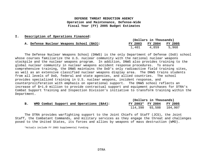#### **I. Description of Operations Financed:**

|  |                                          |  | (Dollars in Thousands)  |  |       |  |       |  |
|--|------------------------------------------|--|-------------------------|--|-------|--|-------|--|
|  | A. Defense Nuclear Weapons School (BA3): |  | FY 2003 FY 2004 FY 2005 |  |       |  |       |  |
|  |                                          |  | 1,401                   |  | 4.859 |  | 5,968 |  |

The Defense Nuclear Weapons School (DNWS) is the only Department of Defense (DoD) school whose courses familiarize the U.S. nuclear community with the national nuclear weapons stockpile and the nuclear weapons program. In addition, DNWS also provides training to the global nuclear community in nuclear weapons accident response procedures. To ensure comprehensive training, the DNWS maintains the DoD's only radioactive field training sites, as well as an extensive classified nuclear weapons display area. The DNWS trains students from all levels of DoD, federal and state agencies, and allied countries. The school provides specialized training in U.S. nuclear weapons, incident response, and counterproliferation with emphasis on operational support. The DNWS school reflects an increase of \$+1.0 million to provide contractual support and equipment purchases for DTRA's Combat Support Training and Inspection Division's initiative to transform training within the Department.

|  |  |                                          |  | (Dollars in Thousands) |                        |  |  |  |         |  |
|--|--|------------------------------------------|--|------------------------|------------------------|--|--|--|---------|--|
|  |  | WMD Combat Support and Operations (BA4): |  |                        | FY 2003* FY 2004       |  |  |  | FY 2005 |  |
|  |  |                                          |  |                        | 114,390 93,508 104,907 |  |  |  |         |  |

The DTRA provides warfighting support to the Joint Chiefs of Staff (JCS), the Joint Staff, the Combatant Commands, and military services as they engage the threat and challenges posed to the United States, its forces and allies by weapons of mass destruction (WMD).

\*Actuals include FY 2003 Supplemental Funding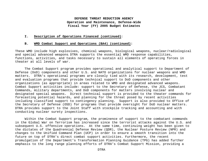#### **I. Description of Operations Financed (continued)**:

#### **B. WMD Combat Support and Operations (BA4) (continued):**

These WMD include high explosives, chemical weapons, biological weapons, nuclear/radiological and special advanced weapons. DTRA supports the essential WMD response capabilities, functions, activities, and tasks necessary to sustain all elements of operating forces in theater at all levels of war.

The Combat Support program provides operational and analytical support to Department of Defense (DoD) components and other U.S. and NATO organizations for nuclear weapons and WMD matters. DTRA's operational programs are closely tied with its research, development, test and evaluation programs that provide technical support to DoD components and other organizations (as appropriate) in areas related to WMD and designated advanced weapons. Combat Support activities include: support to the Secretary of Defense, the JCS, Combatant Commands, military departments, and DoD components for matters involving nuclear and designated special weapons. Direct technical support is provided to the theater commands for forecasting potential hazards, and planning for the threat posed by recent activities including classified support to contingency planning. Support is also provided to Office of the Secretary of Defense (OSD) for programs that provide oversight for DoD nuclear matters. DTRA provides support to the Joint Staff with stockpile tracking and accounting and with conducting nuclear surety inspections.

Within the Combat Support program, the prominence of support to the combatant commands in the Global War on Terrorism has increased since the terrorist attacks against the U.S. and subsequent U.S. offensive operations. At the same time, continuing weight has been given to the dictates of the Quadrennial Defense Review (QDR), the Nuclear Posture Review (NPR) and changes to the Unified Command Plan (UCP) in order to ensure a smooth transition into the future on top of DTRA's direct combat support activities. Furthermore, the recent promulgation of the Department's Transformation Planning Guidance (TPG) has added further emphasis to the long range planning efforts of DTRA's Combat Support Mission, providing a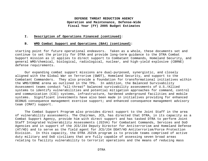#### **I. Description of Operations Financed (continued)**:

#### **B. WMD Combat Support and Operations (BA4) (continued):**

starting point for future operational endeavors. Taken as a whole, these documents set and continue to set the priority for DTRA and provide long-term guidance to the DTRA Combat Support mission as it applies to direct support to Combatant Commands, Homeland Security, and general WMD/chemical, biological, radiological, nuclear, and high-yield explosive (CBRNE) defense requirements.

Our expanding combat support missions are dual-purposed, synergistic, and closely aligned with the Global War on Terrorism (GWOT), Homeland Security, and support to the Combatant Commanders. They also provide a foundation for transformational initiatives within the WMD/CBRNE arena as outlined in the TPG. In addition, the Balanced Survivability Assessment teams conduct "all-threat" balanced survivability assessments of U.S./Allied systems to identify vulnerabilities and potential mitigation approaches for command, control and communication (C3I) systems, infrastructure, hardened underground facilities and mobile systems. Significant investments have also been made in initiatives providing for enhanced OCONUS consequence management exercise support; and enhanced consequence management advisory team (CMAT) support.

The Combat Support Program also provides direct support to the Joint Staff in the area of vulnerability assessments. The Chairman, JCS, has directed that DTRA, in its capacity as a Combat Support Agency, provide him with direct support and has tasked DTRA to perform Joint Staff Integrated Vulnerability Assessments (JSIVA) for Combatant Commands, Services and DoD Agencies and in support of the JCS/J34 Deputy Director for Antiterrorism and Homeland Defense (AT/HD) and to serve as the field agent for JCS/J34 DDAT/HD Antiterrorism/Force Protection Division. In this capacity, the DTRA JSIVA program is to provide teams comprised of active duty military and DoD civilians that are fully capable of assessing seven broad areas relating to facility vulnerability to terrorist operations and the means of reducing mass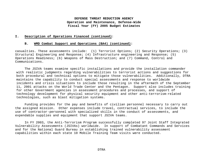#### **I. Description of Operations Financed (continued)**:

#### **B. WMD Combat Support and Operations (BA4) (continued):**

casualties. These assessments include: (1) Terrorist Options; (2) Security Operations; (3) Structural Engineering and Response; (4) Infrastructure engineering and Response; (5) Operations Readiness; (6) Weapons of Mass Destruction; and (7) Command, Control and Communications.

The JSIVA teams examine specific installations and provide the installation commander with realistic judgments regarding vulnerabilities to terrorist actions and suggestions for both procedural and technical options to mitigate those vulnerabilities. Additionally, DTRA maintains the capability to conduct special assessments and response to worldwide incidents and crisis situations to include those resulting in the aftermath of the September 11, 2001 attacks on the World Trade Center and the Pentagon. Support also includes training for other Government agencies in assessment procedures and processes, and support of technology development for physical security equipment and other anti-terrorism-related technologies, such as blast mitigation systems.

Funding provides for the pay and benefits of civilian personnel necessary to carry out the assigned mission. Other expenses include travel, contractual services, to include the use of contractor-personnel with specialized skills in the conduct of assessments, and expendable supplies and equipment that support JSIVA teams.

In FY 2003, the Anti-Terrorism Program successfully completed 97 Joint Staff Integrated Vulnerability Assessments (JSIVAs) worldwide. In support of Combatant Commands and Services and for the National Guard Bureau in establishing trained vulnerability assessment capabilities within each state 10 Mobile Training Team visits were conducted.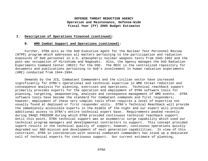#### **I. Description of Operations Financed (continued)**:

#### **B. WMD Combat Support and Operations (continued):**

Further, DTRA acts as the DoD Executive Agent for the Nuclear Test Personnel Review (NTPR) program which addresses all matters pertaining to the participation and radiation exposures of DoD personnel in U.S. atmospheric nuclear weapons tests from 1945-1962 and the post-war occupation of Hiroshima and Nagasaki. Also, the Agency manages the DoD Radiation Experiments Command Center (RECC) for the OSD. The RECC is the centralized repository for documents and publications pertaining to DoD's involvement in human radiation experiments (HRE) conducted from 1944-1994.

Demands by the JCS, Combatant Commanders and the civilian sector have increased significantly for DTRA's operational and technical expertise in WMD threat reduction and consequence analysis for planning, exercises and operations. Technical reachback support primarily provides experts for the operation and employment of DTRA software tools for planning, targeting, weaponeering, analyses and consequence management of WMD events. DTRA software tools have become the standard for Combatant commands and first responders; however, employment of these very complex tools often requires a level of expertise not usually found at deployed or first responder units. DTRA's Technical Reachback will provide the immediately accessible experts in the middle of the night and our expert will provide additional access to DTRA's entire technical expert base. Requirements peaked recently during IRAQI FREEDOM during which DTRA provided continuous technical reachback support. Until this point, DTRA technical support was an asymmetric surge capability which used our technical program managers and developmental contractors to support. This concept provided superb results in the technical quality of support; however, continuous operations quickly degraded our R&D mission and development of next generation capabilities. In view of this constraint, DTRA in coordination with several combatant commanders has stood up a dedicated cell of technical experts for continuous support. Our current estimate of planning,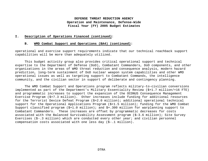#### **I. Description of Operations Financed (continued)**:

#### **B. WMD Combat Support and Operations (BA4) (continued):**

operational and exercise support requirements indicate that our technical reachback support capabilities will be more than adequately utilized.

This budget activity group also provides critical operational support and technical expertise to the Department of Defense (DoD), Combatant Commanders, DoD components, and other organizations in the areas of WMD threat reduction and consequence analysis, modern hazard prediction, long-term sustainment of DoD nuclear weapon system capabilities and other WMD operational issues as well as targeting support to Combatant Commands, the intelligence community, and the civilian sector in support of deliberate and contingency planning.

The WMD Combat Support and Operations program reflects military-to-civilian conversions implemented as part of the Department's Military Essentiality Review (\$+1.7 million/+16 FTE) and programmatic increases to support the expansion of the OCONUS Consequence Management Exercise Program (\$+7.3 million). Other increases include funding for additional resources for the Terrorist Device Defeat Program (\$+2.0 million); additional operational technical support for the Operational Applications Program (\$+1.5 million); funding for the WMD Combat Support classified program (\$+1.0 million); and \$+.300 million for warplanning support to Combatant Commanders. These increases are offset by programmatic decreases for costs associated with the Balanced Survivability Assessment program (\$-3.6 million); Site Survey Exercises  $(S-.3$  million) which are conducted every other year; and civilian personnel compensation costs associated with one less day (\$-.1 million).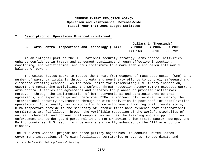#### **I. Description of Operations Financed (continued)**:

|                |  |                                                |  | (Dollars in Thousands)   |  |  |  |        |
|----------------|--|------------------------------------------------|--|--------------------------|--|--|--|--------|
| $\mathsf{C}$ . |  | Arms Control Inspections and Technology (BA4): |  | FY 2003* FY 2004 FY 2005 |  |  |  |        |
|                |  |                                                |  | 141,163 68,510           |  |  |  | 80.792 |

As an integral part of the U.S. national security strategy, arms control activities enhance confidence in treaty and agreement compliance through effective inspection, monitoring, and verification, and thus contribute to a more stable and calculable world balance of power.

The United States seeks to reduce the threat from weapons of mass destruction (WMD) in a number of ways, particularly through treaty and non-treaty efforts to control, safeguard and eliminate existing weapons. As the focal point for implementing U.S. treaty inspection, escort and monitoring activities, the Defense Threat Reduction Agency (DTRA) executes current arms control treaties and agreements and prepares for planned or proposed initiatives. Moreover, through the implementation of both conventional and strategic arms control agreements, and experience gained therefrom, DTRA is increasingly involved in shaping the international security environment through on-site activities in post-conflict stabilization operations. Additionally, as monitors for force withdrawals from regional trouble spots, DTRA inspectors provide to the Secretary of Defense first-hand evidence that international commitments are fulfilled. Through the verifiable reduction of the world's stockpiles of nuclear, chemical, and conventional weapons, as well as the training and equipping of law enforcement and border guard personnel in the Former Soviet Union (FSU), Eastern Europe, and Baltic countries, U.S. security interests are directly enhanced by the DTRA arms control mission.

The DTRA Arms Control program has three primary objectives: to conduct United States Government inspections of foreign facilities, territories or events; to coordinate and

\*Actuals include FY 2003 Supplemental Funding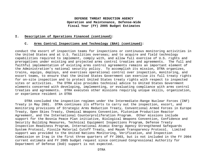#### **I. Description of Operations Financed (continued)**:

#### **C. Arms Control Inspections and Technology (BA4) (continued):**

conduct the escort of inspection teams for inspections or continuous monitoring activities in the United States and at U.S. facilities overseas; and to acquire and field technology capabilities required to implement, comply with, and allow full exercise of U.S. rights and prerogatives under existing and projected arms control treaties and agreements. The full and faithful implementation of existing arms control agreements remains an important element of the Administration's national security policy. To accomplish its mission, DTRA organizes, trains, equips, deploys, and exercises operational control over inspection, monitoring, and escort teams, to ensure that the United States Government can exercise its full treaty rights for on-site inspection and to protect United States treaty rights with respect to inspected sites or activities. The DTRA also provides technical advice to United States Government elements concerned with developing, implementing, or evaluating compliance with arms control treaties and agreements. DTRA executes other missions requiring unique skills, organization, or experience resident in DTRA

DTRA concluded the inspection regimen under the Intermediate-Range Nuclear Forces (INF) Treaty in May 2001. DTRA continues its efforts to carry out the inspection, escort, and monitoring provisions of Strategic Arms Reduction Treaty, Conventional Armed Forces in Europe Treaty, Open Skies Treaty, Chemical Weapons Convention, Plutonium Production Reactor Agreement, and the International Counterproliferation Program. Other missions include support for the Bosnia Peace Plan initiative, Biological Weapons Convention, Confidence and Security Building Measures, Technical Equipment Inspections Program, Defense Treaty Inspection Readiness Program, International Atomic Energy Agency Strengthened Safeguards System Protocol, Fissile Material Cutoff Treaty, and Mayak Transparency Protocol. Limited support was provided to the United Nations Monitoring, Verification, and Inspection Commission on Iraq in the first three quarters of FY 2003, but is not included in the FY 2004 current estimate and FY 2005 budget request since continued Congressional Authority for Department of Defense (DoD) support is not expected.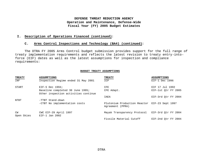#### **I. Description of Operations Financed (continued)**:

#### **C. Arms Control Inspections and Technology (BA4) (continued):**

The DTRA FY 2005 Arms Control budget submission provides support for the full range of treaty implementation requirements and reflects the latest revision to treaty entry-intoforce (EIF) dates as well as the latest assumptions for inspection and compliance requirements:

#### **BUDGET TREATY ASSUMPTIONS**

| <b>TREATY</b>    | <b>ASSUMPTIONS</b>                      | <b>TREATY</b>                                                     | <b>ASSUMPTIONS</b>  |
|------------------|-----------------------------------------|-------------------------------------------------------------------|---------------------|
| INF              | Inspection Regime ended 31 May 2001     | ICP                                                               | $EIF-1$ Dec 1996    |
| START            | EIF-5 Dec $1994;$                       | CFE                                                               | EIF 17 Jul 1992     |
|                  | Baseline completed 30 June 1995;        | CFE Adapt.                                                        | EIF-1st Otr FY 2005 |
|                  | Other inspection activities continue    |                                                                   |                     |
|                  |                                         | IAEA                                                              | EIF-3rd Otr FY 2004 |
| NTBT             | -TTBT Stand-down                        |                                                                   |                     |
|                  | -CTBT No implementation costs           | Plutonium Production Reactor EIF-23 Sept 1997<br>Agreement (PPRA) |                     |
| CW<br>Open Skies | CWC EIF-29 April 1997<br>EIF-1 Jan 2002 | Mayak Transparency Protocol                                       | EIF-3rd Otr FY 2004 |
|                  |                                         | Fissile Material Cutoff                                           | EIF-2nd Otr FY 2004 |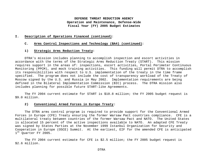#### **I. Description of Operations Financed (continued)**:

#### **C. Arms Control Inspections and Technology (BA4) (continued):**

#### **1) Strategic Arms Reduction Treaty:**

DTRA's mission includes planning to accomplish inspection and escort activities in accordance with the terms of the Strategic Arms Reduction Treaty (START). This mission requires support in the areas of: inspections, escort activities, Portal Perimeter Continuous Monitoring (PPCM), and mock training activities. This funding will permit DTRA to accomplish its responsibilities with respect to U.S. implementation of the treaty in the time frame specified. The program does not include the cost of transparency workload of the Treaty of Moscow signed by the U.S. and Russia in May 2002. Implementation requirements are being defined in the Bilateral Implementation Commission (BIC) process. The DTRA mission also includes planning for possible future START-like Agreements.

The FY 2004 current estimate for START is \$10.8 million; the FY 2005 budget request is \$9.0 million.

#### **2) Conventional Armed Forces in Europe Treaty:**

The DTRA arms control program is required to provide support for the Conventional Armed Forces in Europe (CFE) Treaty ensuring the former Warsaw Pact countries compliance. CFE is a multilateral treaty between countries of the former Warsaw Pact and NATO. The United States is allocated 15 percent of the active inspections available to NATO. An adapted CFE Treaty was signed by States Parties at the November 1999 Istanbul Organization for Security and Cooperation in Europe (OSCE) Summit. At the earliest, EIF for the amended CFE is anticipated 1<sup>st</sup> Quarter FY 2005.

The FY 2004 current estimate for CFE is \$2.5 million; the FY 2005 budget request is \$2.6 million.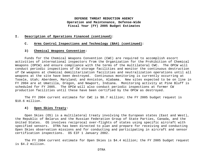#### **I. Description of Operations Financed (continued)**:

#### **C. Arms Control Inspections and Technology (BA4) (continued):**

#### **3) Chemical Weapons Convention:**

Funds for the Chemical Weapons Convention (CWC) are required to accomplish escort activities of international inspectors from the Organization for the Prohibition of Chemical Weapons (OPCW) and ensure compliance with the terms of the multilateral CWC. The OPCW will conduct periodic inspections of CW storage facilities and monitor the continuous destruction of CW weapons at chemical demilitarization facilities and neutralization operations until all weapons at the site have been destroyed. Continuous monitoring is currently occurring at Tooele, Utah; Aberdeen, Maryland; and Anniston, Alabama. New sites expected to be on line in FY 2004 are at Umatilla, Oregon, and Newport, Indiana. Monitoring activity at Pine Bluff is scheduled for FY 2005. The OPCW will also conduct periodic inspections at former CW production facilities until these have been certified by the OPCW as destroyed.

The FY 2004 current estimate for CWC is \$8.7 million; the FY 2005 budget request is \$10.6 million.

## **4) Open Skies Treaty:**

Open Skies (OS) is a multilateral treaty involving the European states (East and West), the Republic of Belarus and the Russian Federation Group of State Parties, Canada, and the United States. OS involves reciprocal over-flights of states using specific aircraft with specified sensors. DTRA has been directed to plan and prepare for receiving and conducting Open Skies observation missions and for conducting and participating in aircraft and sensor certification inspections. OS EIF 1 January 2002.

The FY 2004 current estimate for Open Skies is \$4.4 million; the FY 2005 budget request is \$4.2 million.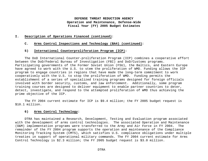#### **I. Description of Operations Financed (continued)**:

#### **C. Arms Control Inspections and Technology (BA4) (continued):**

#### **5) International Counterproliferation Program (ICP):**

The DoD International Counter-proliferation Program (ICP) combines a cooperative effort between the DoD/Federal Bureau of Investigation (FBI) and DoD/Customs programs. Participating governments of the Former Soviet Union (FSU), the Baltics, and Eastern Europe have agreed to work with the U.S. to stem the proliferation of WMD. Funding allows the ICP program to engage countries in regions that have made the long-term commitment to work cooperatively with the U.S. to stop the proliferation of WMD. Funding permits the establishment of a series of specialized training programs designed for foreign officials involved with border security, customs, and law enforcement. Additionally, some program training courses are designed to deliver equipment to enable partner countries to deter, detect, investigate, and respond to the attempted proliferation of WMD thus achieving the prime objective of the ICP.

The FY 2004 current estimate for ICP is \$9.4 million; the FY 2005 budget request is \$10.1 million.

#### **6) Arms Control Technology:**

DTRA has maintained a Research, Development, Testing and Evaluation program associated with the development of arms control technologies. The associated Operation and Maintenance (O&M) implementation programs were transferred to the Army and Air Force in FY 2004. The remainder of the FY 2004 program supports the operation and maintenance of the Compliance Monitoring Tracking System (CMTS), which satisfies U.S. compliance obligations under multiple treaties in support of operational military commands. The FY 2004 current estimate for Arms Control Technology is \$2.3 million; the FY 2005 budget request is \$3.0 million.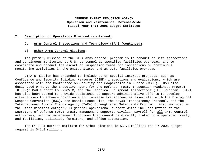#### **I. Description of Operations Financed (continued)**:

#### **C. Arms Control Inspections and Technology (BA4) (continued):**

#### **7) Other Arms Control Missions**:

The primary mission of the DTRA arms control program is to conduct on-site inspections and continuous monitoring by U.S. personnel at specified facilities overseas, and to coordinate and conduct the escort of inspection teams for inspections or continuous monitoring activities in the United States and at U.S. facilities overseas.

DTRA's mission has expanded to include other special interest projects, such as Confidence and Security Building Measures (CSBM) inspections and evaluations, which are associated with the Conference on Security and Cooperation in Europe (CSCE). DoD also designated DTRA as the Executive Agent for the Defense Treaty Inspection Readiness Program (DTIRP); DoD support to UNMOVIC; and the Technical Equipment Inspections (TEI) Program. DTRA has also been tasked to provide assistance to support administrative efforts to develop alternatives to enhance compliance and increase transparencies associated with the Biological Weapons Convention (BWC), the Bosnia Peace Plan, the Mayak Transparency Protocol, and the International Atomic Energy Agency (IAEA) Strengthened Safeguards Program. Also included in the Other Missions category is general operational support which includes Office of the Secretary of Defense (OSD) treaty management support, civilian payroll for all arms control activities, program management functions that cannot be directly linked to a specific treaty, and facilities, utilities, furniture, and office automation.

The FY 2004 current estimate for Other Missions is \$30.4 million; the FY 2005 budget request is \$41.2 million.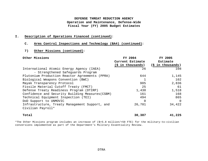## **I. Description of Operations Financed (continued)**:

#### **C. Arms Control Inspections and Technology (BA4) (continued):**

## **7) Other Missions (continued)**:

| Other Missions                                   | FY 2004           | FY 2005                  |
|--------------------------------------------------|-------------------|--------------------------|
|                                                  | Current Estimate  | Estimate                 |
|                                                  | (\$ in thousands) | $(\hat{S}$ in thousands) |
| International Atomic Energy Agency (IAEA)        | 26                | 108                      |
| - Strengthened Safeguards Program                |                   |                          |
| Plutonium Production Reactor Agreements (PPRA)   | 644               | 1,145                    |
| Biological Weapons Convention (BWC)              |                   | 102                      |
| Mayak Transparency Protocol                      | 905               | 2,836                    |
| Fissile Material Cutoff Treaty (FMCT)            | 25                | 61                       |
| Defense Treaty Readiness Program (DTIRP)         | 1,430             | 1,518                    |
| Confidence and Security Building Measures (CSBM) | 161               | 168                      |
| Technical Equipment Inspection (TEI)             | 494               | 865                      |
| DoD Support to UNMOVIC                           | $\Omega$          | - 0                      |
| Infrastructure, Treaty Management Support, and   | 26,701            | 34,422                   |
| Civilian Payroll*                                |                   |                          |
| Total                                            | 30,387            | 41,225                   |

\*The Other Missions program includes an increase of (\$+5.8 million/+59 FTE) for the military-to-civilian conversions implemented as part of the Department's Military Essentiality Review.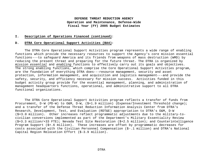#### **I. Description of Operations Financed (continued)**:

#### **D. DTRA Core Operational Support Activities (BA4):**

The DTRA Core Operational Support Activities program represents a wide range of enabling functions which provide the necessary resources to support the Agency's core mission essential functions---to safeguard America and its friends from weapons of mass destruction (WMD) by reducing the present threat and preparing for the future threat. The DTRA is organized by *mission essential* and *enabling* functions to effectively carry out its goals and objectives. The strong enabling functions, which comprise the Core Operational Support Activities program, are the foundation of everything DTRA does---resource management, security and asset protection, information management, and acquisition and logistics management---and provide the safety, security, and efficiency necessary for mission success. Activities funded in this budget activity group provide for the essential management, planning, and administration of management headquarters functions, operational, and administrative support to all DTRA functional organizations.

The DTRA Core Operational Support Activities program reflects a transfer of funds from Procurement, D-W (PD-W) to O&M, D-W, (\$+1.9 million) (Expense/Investment Threshold change); and a transfer of the Defense Threat Reduction Information Analysis Center from DTRA's Research, Development, Test, and Evaluation (RDT&E) appropriation to DTRA's O&M, D-W (\$+3.0 million). Other increases reflect programmatic adjustments due to the military-tocivilian conversions implemented as part of the Department's Military Essentiality Review (\$+3.3 million/+33 FTE); Nevada Test Site Restoration (\$+2.5 million); and Counterintelligence Program Support (\$+.6 million). These increases are offset by programmatic decreases for costs associated with the Civilian Personnel Compensation (\$-.1 million) and DTRA's National Capital Region Relocation Effort (\$-3.9 million).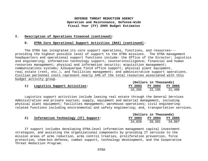#### **I. Description of Operations Financed (continued)**:

#### **D. DTRA Core Operational Support Activities (BA4) (continued):**

The DTRA has integrated its core support operations, functions, and resources-- providing the highest possible level of support to the DTRA missions. The DTRA management headquarters and operational support functions include: the Office of the Director; logistics and engineering; information technology support; counterintelligence; financial and human resources management; physical and information security; acquisition management; communications systems; Albuquerque field office support; physical plant equipment, real estate (rent, etc.), and facilities management; and administrative support operations. Civilian personnel costs represent nearly 34% of the total resources associated with this budget activity group.

|                               |        | (Dollars in Thousands)  |        |  |  |  |
|-------------------------------|--------|-------------------------|--------|--|--|--|
| Logistics Support Activities: |        | FY 2003 FY 2004 FY 2005 |        |  |  |  |
|                               | 16,265 | 22,195                  | 21,498 |  |  |  |

Logistics support activities include leasing real estate through the General Services Administration and private sources; supply, equipment and material management, including physical plant equipment; facilities management; warehouse operations; civil engineeringrelated functions including environmental and safety engineering; and, transportation services.

|                                      |         | (Dollars in Thousands) |        |
|--------------------------------------|---------|------------------------|--------|
| Information Technology (IT) Support: | FY 2003 | FY 2004 FY 2005        |        |
|                                      | 24,029  | 28,581                 | 34,807 |

IT support includes developing DTRA-level information management capital investment strategies, and assisting the organizational components by providing IT services to the mission areas of arms reduction, arms control treaties, proliferation prevention, force protection, chem-bio defense, combat support, technology development, and the Cooperative Threat Reduction Program.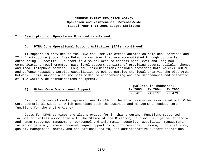#### **I. Description of Operations Financed (continued)**:

#### **D. DTRA Core Operational Support Activities (BA4) (continued):**

IT support is provided to the DTRA end user via office automation help desk services and IT infrastructure (Local Area Network) services that are accomplished through contracted outsourcing. Specific IT support is also tailored to address base-level and long-haul communications requirements. Base-level support consists of providing pagers, cellular phones and local telephone service. Long-haul communications includes providing Data/Voice/AUTODIN and Defense Messaging Service capabilities to points outside the local area via the Wide Area Network. This support also includes video teleconferencing and the maintenance and operation of DTRA world-wide communications equipment.

|                                 |        | (Dollars in Thousands)  |  |  |  |
|---------------------------------|--------|-------------------------|--|--|--|
| Other Core Operational Support: |        | FY 2003 FY 2004 FY 2005 |  |  |  |
|                                 | 62,943 | 74,021 77,479           |  |  |  |

Civilian personnel costs represent nearly 42% of the total resources associated with Other Core Operational Support, which comprises both the business and management headquarters functions for the entire Agency.

Costs for DFAS services are also provided for in this program. Functions supported include activities associated with the Office of the Director, counterintelligence, financial and human resources management, personnel and information security, acquisition management, inspector general, general counsel, equal opportunity, congressional liaison, public affairs, quality management, safety and occupational health, and administrative support operations.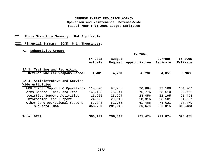## **II. Force Structure Summary: Not Applicable**

## **III. Financial Summary (O&M: \$ in Thousands):**

## **A. Subactivity Group:**

**1**

|                                                                 |                    |                          | FY 2004       |                     |                            |
|-----------------------------------------------------------------|--------------------|--------------------------|---------------|---------------------|----------------------------|
|                                                                 | FY 2003<br>Actuals | <b>Budget</b><br>Request | Appropriation | Current<br>Estimate | <b>FY 2005</b><br>Estimate |
| BA 3: Training and Recruiting<br>Defense Nuclear Weapons School | 1,401              | 4,796                    | 4,796         | 4,859               | 5,968                      |
| BA 4: Administrative and Service<br>Wide Activities             |                    |                          |               |                     |                            |
| WMD Combat Support & Operations                                 | 114,390            | 97,756                   | 96,664        | 93,508              | 104,907                    |
| Arms Control Insp. and Tech                                     | 141,163            | 76,644                   | 75,776        | 68,510              | 80,792                     |
| Logistics Support Activities                                    | 16,265             | 25,297                   | 24,456        | 22,195              | 21,498                     |
| Information Tech Support                                        | 24,029             | 29,849                   | 28,316        | 28,581              | 34,807                     |
| Other Core Operational Support                                  | 62,943             | 61,700                   | 61,466        | 74,021              | 77,479                     |
| Sub-total BA4                                                   | 358,790            | 291,246                  | 286,678       | 286,815             | 319,483                    |
| Total DTRA                                                      | 360,191            | 296,042                  | 291,474       | 291,674             | 325,451                    |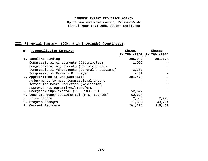## **III. Financial Summary (O&M: \$ in Thousands) (continued):**

| B. Reconciliation Summary:                     | Change    | Change                    |
|------------------------------------------------|-----------|---------------------------|
|                                                |           | FY 2004/2004 FY 2004/2005 |
| 1. Baseline Funding                            | 296,042   | 291,674                   |
| Congressional Adjustments (Distributed)        | $-1,056$  |                           |
| Congressional Adjustments (Undistributed)      |           |                           |
| Congressional Adjustments (General Provisions) | $-3,331$  |                           |
| Congressional Earmark Billpayer                | $-181$    |                           |
| 2. Appropriated Amount (Subtotal)              | 291,474   |                           |
| Adjustments to Meet Congressional Intent       |           |                           |
| Across-the-board Reduction (Rescission)        |           |                           |
| Approved Reprogrammings/Transfers              |           |                           |
| 3. Emergency Supplemental (P.L. 108-106)       | 52,627    |                           |
| 4. Less Emergency Supplemental (P.L. 108-106)  | $-52,627$ |                           |
| 5. Price Change                                | 2,030     | 2,993                     |
| 6. Program Changes                             | $-1,830$  | 30,784                    |
| 7. Current Estimate                            | 291,674   | 325,451                   |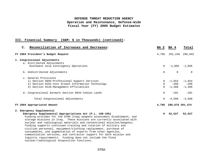## **III. Financial Summary (O&M: \$ in Thousands) (continued):**

| $\mathbf{C}$ . | Reconciliation of Increases and Decreases:                              | BA 3           | BA 4                  | Total             |
|----------------|-------------------------------------------------------------------------|----------------|-----------------------|-------------------|
|                | FY 2004 President's Budget Request                                      | 4,796          | 291,246               | 296,042           |
|                | 1. Congressional Adjustments                                            |                |                       |                   |
|                | a. Distributed Adjustments                                              |                |                       |                   |
|                | Southwest Asia Contingency Operations                                   | $\Omega$       |                       | $-1,056 -1,056$   |
|                | b. Undistributed Adjustments                                            | $\Omega$       | $\Omega$              | $\Omega$          |
|                | c. General Provisions                                                   |                |                       |                   |
|                | 1) Section 8094-Professional Support Services                           | $\Omega$       |                       | $-1,654$ $-1,654$ |
|                | 2) Section 8101-Cost Growth Information Technology                      | $\overline{0}$ | $-268$                | $-268$            |
|                | 3) Section 8126-Management Efficiencies                                 | $\Omega$       | $-1,409$              | $-1,409$          |
|                | d. Congressional Earmark Section 8044-Indian Lands                      | 0              | $-181$                | $-181$            |
|                | Total Congressional Adjustments                                         | $\Omega$       |                       | $-4.568 - 4.568$  |
|                | FY 2004 Appropriated Amount                                             |                | 4,796 286,678 291,474 |                   |
|                | 2. Emergency Supplemental                                               |                |                       |                   |
|                | Emergency Supplemental Appropriations Act (P.L. 108-106)                |                | 0, 52, 627            | 52,627            |
|                | Funding provides for the DTRA Iraqi weapons assessment disablement, and |                |                       |                   |
|                | storage missions in Iraq. These missions are currently associated with  |                |                       |                   |
|                | nuclear and radiological materials and conventional missiles/weapons;   |                |                       |                   |
|                | funding supports continued training and rotation of military and        |                |                       |                   |
|                | civilian personnel, equipment/clothing replacement, purchase of         |                |                       |                   |
|                | consumables, and augmentation of experts from other agencies,           |                |                       |                   |
|                | communication services, and contractor support for both mission and     |                |                       |                   |
|                | logistic requirements. Funding does not include the final               |                |                       |                   |
|                | nuclear/radiological disposition functions.                             |                |                       |                   |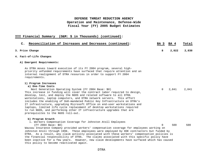| Reconciliation of Increases and Decreases (continued):<br>$\mathsf{C}$ .                                                                                                                                                                                                                                                                                                                                                                                                                                                                                                                                                                                       | BA 3     | BA 4  | Total |
|----------------------------------------------------------------------------------------------------------------------------------------------------------------------------------------------------------------------------------------------------------------------------------------------------------------------------------------------------------------------------------------------------------------------------------------------------------------------------------------------------------------------------------------------------------------------------------------------------------------------------------------------------------------|----------|-------|-------|
| 3. Price Change                                                                                                                                                                                                                                                                                                                                                                                                                                                                                                                                                                                                                                                | 8        | 2,022 | 2,030 |
| 4. Fact-of-Life Changes                                                                                                                                                                                                                                                                                                                                                                                                                                                                                                                                                                                                                                        |          |       |       |
| A) Emergent Requirements:                                                                                                                                                                                                                                                                                                                                                                                                                                                                                                                                                                                                                                      |          |       |       |
| As DTRA moves toward execution of its FY 2004 program, several high-<br>priority unfunded requirements have surfaced that require attention and an<br>internal realignment of DTRA resources in order to support FY 2004<br>requirements.                                                                                                                                                                                                                                                                                                                                                                                                                      |          |       |       |
| 1) Program Increases                                                                                                                                                                                                                                                                                                                                                                                                                                                                                                                                                                                                                                           |          |       |       |
| a) One-Time Costs<br>Next Generation Operating System (FY 2004 Base: \$0)<br>This increase in funding will cover the contract labor required to design,<br>develop, test, and deploy the NGOS and related software to all DTRA<br>workstations, laptop computers, and DTRA network servers. This effort<br>includes the enabling of DoD-mandated Public Key Infrastructure on DTRA's<br>IT infrastructure, upgrading Microsoft Office on end-user workstations and<br>laptops, limited life cycle replacement of desktop workstations required<br>to run NGOS, and performing other IT infrastructure upgrades that are<br>prerequisites to the NGOS roll-out. | $\Omega$ | 2,841 | 2,841 |
| b) Program Growth<br>i. Workers Compensation Coverage for Johnston Atoll Employees<br>(FY 2004 Base: \$0)<br>Wausau Insurance Company provided workers' compensation coverage for employees working on<br>Johnston Atoll through 1996. These employees were employed by DOE contractors but funded by<br>DTRA. As a result, any claim activity associated with these workers' compensation policies is                                                                                                                                                                                                                                                         | $\Omega$ | 500   | 500   |
| the financial responsibility of DTRA. The claims associated with this specific policy have<br>been inactive for a few years. However, new claim developments have surfaced which has caused<br>this policy to become reactivated again.                                                                                                                                                                                                                                                                                                                                                                                                                        |          |       |       |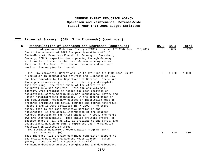| $\mathsf{c}$ .<br>Reconciliation of Increases and Decreases (continued):      | BA <sub>3</sub> | BA 4  | Total |
|-------------------------------------------------------------------------------|-----------------|-------|-------|
| ii. Strategic Arms Reduction Treaty (START) Missions (FY 2004 Base: \$10,289) |                 | 665   | 665   |
| Due to the movement of DTRA European Operations off of                        |                 |       |       |
| Rhein-Main Air Base from Frankfurt, Germany to Darmstadt,                     |                 |       |       |
| Germany, CONUS inspection teams passing through Germany                       |                 |       |       |
| will now be billeted on the local German economy rather                       |                 |       |       |
| than on the Air Base. This change has occurred one year                       |                 |       |       |
| earlier than originally planned.                                              |                 |       |       |
| iii. Environmental, Safety and Health Training (FY 2004 Base: \$202)          | $\Omega$        | 1,020 | 1,020 |
| A reduction in occupational injuries and illnesses of 50%                     |                 |       |       |
| has been mandated by the Department of Defense. There are                     |                 |       |       |
| three phases necessary in order to identify and complete                      |                 |       |       |
| this training. The first phase of the effort to be                            |                 |       |       |
| conducted is a gap analysis. This gap analysis will                           |                 |       |       |
| identify what training is needed for each position or                         |                 |       |       |
| occupational series within DTRA per Occupational Safety and                   |                 |       |       |
| Health Administration standards. In the second phase of                       |                 |       |       |
| the requirement, necessary courses of instruction must be                     |                 |       |       |
| prepared including the actual courses and course materials.                   |                 |       |       |
| Phases I and II were completed in FY 2003. The third                          |                 |       |       |
| phase, that is the most expensive portion of the                              |                 |       |       |
| requirement, is the actual instruction of the courses.                        |                 |       |       |
| Without execution of the third phase in FY 2004, the first                    |                 |       |       |
| two are inconsequential. This entire training effort, to                      |                 |       |       |
| include phase I, II, and III, is critical to the safety and                   |                 |       |       |
| occupational health of DTRA's employees and the mandated                      |                 |       |       |
| reduction in illness/injuries.                                                |                 |       |       |
| iv. Business Management Modernization Program (BMMP)                          |                 |       |       |
| (FY 2004 Base: \$0)                                                           | $\Omega$        | 800   | 800   |
| This increase will provide continued contractor support to                    |                 |       |       |
| the existing Business Management Modernization Program                        |                 |       |       |
| (BMMP). Contract effort supports Financial                                    |                 |       |       |
| Management/business process reengineering and development.                    |                 |       |       |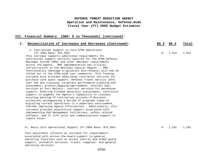| Reconciliation of Increases and Decreases (Continued):<br>$\mathsf{C}$ .                                                                                                                                                                                                                                                                                                                                                                                                                                                                                                                                                                                                                                                                                                                                       | BA 3     | <b>BA 4</b> | Total |
|----------------------------------------------------------------------------------------------------------------------------------------------------------------------------------------------------------------------------------------------------------------------------------------------------------------------------------------------------------------------------------------------------------------------------------------------------------------------------------------------------------------------------------------------------------------------------------------------------------------------------------------------------------------------------------------------------------------------------------------------------------------------------------------------------------------|----------|-------------|-------|
| v. Contractual Support to Core DTRA Operations<br>(FY 2004 Base: \$37,559)<br>This increase supports additional requirements for<br>contractual support services required for the DTRA Defense<br>Messages System (DMS) and other emergent requirements<br>across the Agency. DMS implementation has critical<br>infrastructure in the National Capital Region -- DMS<br>functionality (message origination and release) will now be<br>rolled out to the DTRA-wide user community. This funding<br>increase also provides additional contractor services for<br>purchase card audit support; Defense Travel Service (DTS)<br>user fee and training; corporate performance planning and<br>assessment; process mapping/improvement; contract mail<br>services at Fort Belvoir; contract services for warehouse | 0        | 1,513       | 1,513 |
| support; Enduring Freedom materials sustainment; contractor<br>support to augment the Agency's capability to closeout<br>existing backlog of contractual actions; E-Business<br>initatives encompassing a myriad of programs aimed at<br>migrating current operations to a paperless environment,<br>thereby improving Agency efficiencies. Additionally, this<br>increase provides acquisition support associated with<br>implementing DoD Management Initiatives, safety related<br>software, and IT life cycle and communications support to<br>remote sites.                                                                                                                                                                                                                                               |          |             |       |
| vi. Basic Core Operational Support (FY 2004 Base: \$79,358)<br>This adjustment reflects an increase for requirements<br>associated with across-the-board support to general<br>operating functions such as access control and armed guard<br>support, locksmith services, travel, supplies, and general<br>operating services.                                                                                                                                                                                                                                                                                                                                                                                                                                                                                 | $\Omega$ | 1,182       | 1,182 |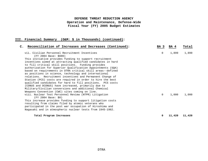| C. Reconciliation of Increases and Decreases (Continued):                    | BA 3        | BA 4   | Total  |
|------------------------------------------------------------------------------|-------------|--------|--------|
| vii. Civilian Personnel Recruitment Incentives<br>(FY 2004 Base: \$600)      | $\mathbf 0$ | 1,899  | 1,899  |
| This initiative provides funding to support recruitment                      |             |        |        |
| incentives aimed at attracting qualified candidates in hard                  |             |        |        |
| to fill critical skill positions. Funding provides                           |             |        |        |
| authorization for Superior Qualification Appointments (SQA)                  |             |        |        |
| based on requirements in DTRA critical skill areas--defined                  |             |        |        |
| as positions in science, technology and international                        |             |        |        |
| relations. Recruitment incentives and Permanent Change of                    |             |        |        |
| Station (PCS) costs are required in order to hire the best                   |             |        |        |
| qualified candidates for hard to fill positions. PCS costs                   |             |        |        |
| (CONUS and OCONUS) have increased, primarily due to                          |             |        |        |
| Military/Civilian conversions and additional Chemical                        |             |        |        |
| Weapons Convention (CWC) sites coming on line.                               |             |        |        |
| viii. Nuclear Test Personnel Review (NTPR) Litigation<br>(FY 2004 Base: \$0) | $\Omega$    | 1,000  | 1,000  |
| This increase provides funding to support litigation costs                   |             |        |        |
| resulting from claims filed by atomic veterans who                           |             |        |        |
| participated in the post war occupation of Hiroshima and                     |             |        |        |
| Nagasaki and in atmospheric nuclear tests from 1945-1962.                    |             |        |        |
| Total Program Increases                                                      | 0           | 11,420 | 11,420 |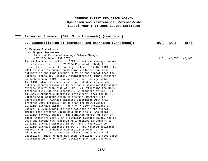| C. Reconciliation of Increases and Decreases (Continued):   | BA 3 | BA 4     | Total    |
|-------------------------------------------------------------|------|----------|----------|
| 2) Program Reductions                                       |      |          |          |
| a) Program Decreases                                        |      |          |          |
| i. Civilian Personnel Average Salary Changes                |      |          |          |
| (FY 2004 Base: \$97,787)                                    | 115  | $-2,558$ | $-2.443$ |
| The difference reflected in DTRA's civilian average salary  |      |          |          |
| since submission of the FY 2004 President's Budget is       |      |          |          |
| primarily attributed to two key factors: 1) The DTRA's FY   |      |          |          |
| 2004 President's Budget submission reflected our best       |      |          |          |
| estimate at the time (August 2002) of the impact that the   |      |          |          |
| Defense Technology Security Administration (DTSA) transfer  |      |          |          |
| would have upon DTRA's overall civilian average salary.     |      |          |          |
| The DTSA, which has now been established as a separate      |      |          |          |
| Defense Agency, historically has had a significantly higher |      |          |          |
| average salary than that of DTRA. 2) Offsetting the DTSA    |      |          |          |
| transfer out, was the internal DTRA transfer of 124 FTEs    |      |          |          |
| (DTRA's Albuquerque Operation Detachment) from the RDT&E,   |      |          |          |
| Defense-Wide appropriation to the O&M, Defense-Wide         |      |          |          |
| appropriation. Average salaries associated with this        |      |          |          |
| transfer were typically lower than the DTRA overall         |      |          |          |
| civilian average salary. For the FY 2004 President's        |      |          |          |
| Budget, DTRA provided its best estimate of the overall      |      |          |          |
| impact this transfer would have upon the DTRA's total       |      |          |          |
| civilian payroll budget. The combined effect of both of     |      |          |          |
| these transfers upon DTRA's civilian average salary for FY  |      |          |          |
| 2004 and beyond has required an increased adjustment to     |      |          |          |
| civilian average salaries in BA 3 and a reduction to        |      |          |          |
| civilian average salaries in BA 4. The revised estimates    |      |          |          |
| reflected in this budget submission provide for an          |      |          |          |
| adjustment to DTRA's average salary based upon actual       |      |          |          |
| execution. This funding has been reapplied to offset costs  |      |          |          |
| associated with the FY 2004 civilian pay raise increase.    |      |          |          |
|                                                             |      |          |          |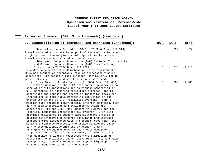| $\mathsf{C}$ .<br>Reconciliation of Increases and Decreases (Continued): | BA 3     | BA 4     | Total           |
|--------------------------------------------------------------------------|----------|----------|-----------------|
| ii. Chemical Weapons Convention (CWC) (FY 2004 Base: \$10,916)           | 0        | $-227$   | $-227$          |
| Travel and contract costs in support of the CWC mission are              |          |          |                 |
| slightly lower than originally anticipated due to revised                |          |          |                 |
| travel models and actual contract experience.                            |          |          |                 |
| iii. Biological Weapons Convention (BWC) National Trial Visits           |          |          |                 |
| and Chemical Weapons Convention (CWC) Mock Challenge                     |          |          |                 |
| Inspections (FY 2004 Base: \$11,728)                                     | 0        | $-1,210$ | $-1,210$        |
| In order to support other DTRA high-priority requirements,               |          |          |                 |
| DTRA has assumed an acceptable risk of decreasing funding                |          |          |                 |
| associated with possible mock missions, particularly for BW              |          |          |                 |
| where activity is planned but likely to be deferred.                     |          |          |                 |
| iv. Other Mission Treaty Support (FY 2004 Base: \$11,058)                | $\Omega$ |          | $-1,286 -1,286$ |
| The primary mission of the DTRA arms control program is to               |          |          |                 |
| conduct on-site inspections and continuous monitoring by                 |          |          |                 |
| U.S. personnel at specified facilities overseas, and to                  |          |          |                 |
| coordinate and conduct the escort of inspection teams for                |          |          |                 |
| inspections or continuous monitoring activities in the                   |          |          |                 |
| United States and at U.S. facilities overseas. DTRA's                    |          |          |                 |
| mission also includes other special interest projects, such              |          |          |                 |
| as the CSBM inspections and evaluations, which are                       |          |          |                 |
| associated with the CSCE; DoD Support to UNMOVIC and the                 |          |          |                 |
| Technical Equipment Inspections TEI Program. DTRA also                   |          |          |                 |
| provides assistance to support administrative efforts to                 |          |          |                 |
| develop alternatives to enhance compliance and increase                  |          |          |                 |
| transparencies associated with the Bosnia Peace Plan, the                |          |          |                 |
| Mayak Transparency Protocol, the treaty management support               |          |          |                 |
| to the International Atomic Energy Agency (IAEA)                         |          |          |                 |
| Strengthened Safeguards Program and treaty management                    |          |          |                 |
| support to the Office of the Secretary of Defense (OSD).                 |          |          |                 |
| This decrease reflects a reassessment/re-evaluation of                   |          |          |                 |
| costs for the activities above (CSBM, DTIRP, TEI, and Mayak              |          |          |                 |
| Transparency Protocol) in order to support higher-priority               |          |          |                 |
| emergent requirements within the Agency.                                 |          |          |                 |
|                                                                          |          |          |                 |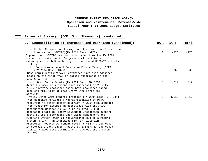| $\mathsf{C}$ .<br>Reconciliation of Increases and Decreases (Continued): | BA 3     | BA 4     | Total    |
|--------------------------------------------------------------------------|----------|----------|----------|
| v. United Nations Monitoring, Verification, and Inspection               |          |          |          |
| Commission (UNMOVIC) (FY 2004 Base: \$978)                               | $\Omega$ | $-978$   | $-978$   |
| Support for UNMOVIC has been eliminated from the FY 2004                 |          |          |          |
| current estimate due to Congressional decision not to                    |          |          |          |
| extend previous DoD authority for continued UNMOVIC efforts              |          |          |          |
| in Iraq.                                                                 |          |          |          |
| vi. Conventional Armed Forces in Europe Treaty (CFE)                     |          |          |          |
| (FY 2004 Base: \$3,535)                                                  | $\Omega$ | $-863$   | $-863$   |
| Base communication/travel estimates have been adjusted                   |          |          |          |
| based on the first year of actual experience at the                      |          |          |          |
| new Darmstadt location.                                                  |          |          |          |
| vii. Open Skies Treaty (FY 2004 Base: \$4,905)                           | $\Omega$ | $-217$   | $-217$   |
| Overall number of missions have increased by 2 in FY                     |          |          |          |
| 2004, however, projected costs have decreased based                      |          |          |          |
| upon one full year of post-Entry-Into-Force (EIF)                        |          |          |          |
| activity                                                                 |          |          |          |
| viii. Other Arms Control Treaties (FY 2004 Base: \$76,644)               | $\Omega$ | $-3,816$ | $-3,816$ |
| This decrease reflects a reprioritization of DTRA                        |          |          |          |
| resources to other higher priority FY 2004 requirements.                 |          |          |          |
| This reduction assumes an acceptable risk that CWC                       |          |          |          |
| destruction monitoring would be delayed (\$-953);                        |          |          |          |
| decreased costs in Treaty Equipment Inspection support                   |          |          |          |
| costs (\$-285); decreased Open Skies Management and                      |          |          |          |
| Planning System (OSMAPS) requirements due to a mature                    |          |          |          |
| system (\$-146); an increased risk in Plutonium                          |          |          |          |
| Production Reactor Agreement costs (\$-562); a decrease                  |          |          |          |
| in overall treaty support costs $(5-1, 135)$ ; an increased              |          |          |          |
| risk in travel cost estimating throughout the program                    |          |          |          |
| $(S-735)$ .                                                              |          |          |          |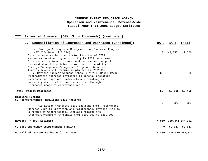| $\mathsf{C}$ .<br>Reconciliation of Increases and Decreases (Continued):                                                                                                                                                                                                                                                                                                                                                                                                                | BA 3        | BA 4                  | Total           |
|-----------------------------------------------------------------------------------------------------------------------------------------------------------------------------------------------------------------------------------------------------------------------------------------------------------------------------------------------------------------------------------------------------------------------------------------------------------------------------------------|-------------|-----------------------|-----------------|
| ix. Foreign Consequence Management and Exercise Program<br>(FY 2004 Base: \$18,794)<br>This decrease reflects a reprioritization of DTRA<br>resources to other higher priority FY 2004 requirements.                                                                                                                                                                                                                                                                                    | $\mathbf 0$ | $-2,350$              | $-2,350$        |
| This reduction impacts travel and contractual support<br>associated with the delay in implementation of the<br>Foreign Consequence Management Program. Required<br>funding levels will resume as planned in FY 2005.<br>x. Defense Nuclear Weapons School (FY 2004 Base: \$2,925)<br>Programmatic decrease reflected in general operating<br>expenses for supplies, materials and printing is<br>primarily due to efficiencies realized through<br>increased usage of electronic media. | $-60$       | $\Omega$              | $-60$           |
| Total Program Decreases                                                                                                                                                                                                                                                                                                                                                                                                                                                                 | 55          | $-13,505 -13,450$     |                 |
| Baseline Funding<br>5. Reprogrammings (Requiring 1415 Actions)<br>This action transfers \$200 thousand from Procurement,<br>Defense-Wide to Operation and Maintenance, Defense-Wide as<br>a result of Congressional Language raising the<br>Expense/Investment threshold from \$100,000 to \$250,000.                                                                                                                                                                                   | $\mathbf 0$ | 200                   | 200             |
| Revised FY 2004 Estimate                                                                                                                                                                                                                                                                                                                                                                                                                                                                |             | 4,859 339,442 344,301 |                 |
| 6. Less Emergency Supplemental Funding                                                                                                                                                                                                                                                                                                                                                                                                                                                  |             | $0 - 52,627 - 52,627$ |                 |
| Normalized Current Estimate for FY 2004                                                                                                                                                                                                                                                                                                                                                                                                                                                 | 4,859       |                       | 286,815 291,674 |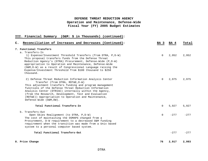| III. Financial Summary<br>(O&M: \$ in Thousands) (continued):                                                                                                                                                                                                                                                                                                                                                         |          |        |        |
|-----------------------------------------------------------------------------------------------------------------------------------------------------------------------------------------------------------------------------------------------------------------------------------------------------------------------------------------------------------------------------------------------------------------------|----------|--------|--------|
| Reconciliation of Increases and Decreases (Continued):<br>$\mathsf{C}$ .                                                                                                                                                                                                                                                                                                                                              | BA 3     | BA 4   | Total  |
| 7. Functional Transfers                                                                                                                                                                                                                                                                                                                                                                                               |          |        |        |
| a. Transfers-In<br>1) Expense/Investment Threshold Transfers (from DTRA, P, D-W)<br>This proposal transfers funds from the Defense Threat<br>Reduction Agency's (DTRA) Procurement, Defense-Wide (P, D-W)<br>appropriation to Operation and Maintenance, Defense-Wide<br>(O&M, D-W) as a result of Congressional Language raising the<br>Expense/Investment Threshold from \$100 thousand to \$250<br>thousand.       | $\Omega$ | 2,952  | 2,952  |
| 2) Defense Threat Reduction Information Analysis Center<br>Transfer (from DTRA, RDT&E, D-W)<br>This adjustment transfers funding and program management<br>functions of the Defense Threat Reduction Information<br>Analysis Center (DTRIAC) internally within the Agency,<br>(from the Research, Development, Test and Evaluation<br>(RDT&E)) Appropriation to Operation and Maintenance,<br>Defense-Wide (O&M, DW). | $\Omega$ | 2,975  | 2,975  |
| Total Functional Transfers-In                                                                                                                                                                                                                                                                                                                                                                                         | $\Omega$ | 5,927  | 5,927  |
| b. Transfers-Out<br>Open Skies Realignment (to DTRA, P, D-W)<br>The cost of maintaining the OSMAPS changed from a<br>Procurement, D-W requirement to a decreased O&M funding<br>requirement when the transition was made from a Unix based<br>system to a personal computer based system.                                                                                                                             | $\Omega$ | $-277$ | $-277$ |
| Total Functional Transfers-Out                                                                                                                                                                                                                                                                                                                                                                                        |          | $-277$ | $-277$ |
| 8. Price Change                                                                                                                                                                                                                                                                                                                                                                                                       | 76       | 2,917  | 2,993  |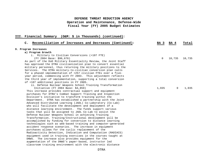| C. Reconciliation of Increases and Decreases (Continued):        | BA 3     | <b>BA 4</b> | Total  |
|------------------------------------------------------------------|----------|-------------|--------|
| 9. Program Increases                                             |          |             |        |
| a) Program Growth                                                |          |             |        |
| i. Military to Civilian Conversions (+107 FTE)                   |          |             |        |
| (FY 2004 Base: \$96,676)                                         | $\Omega$ | 10,735      | 10,735 |
| As part of the DoD Military Essentiality Review, the Joint Staff |          |             |        |
| has approved the DTRA civilianization plan to convert essential  |          |             |        |
| military personnel, thus returning the military positions to the |          |             |        |
| Services. The DTRA military-to-civilian conversion plan calls    |          |             |        |
| for a phased implementation of +257 civilian FTEs over a five-   |          |             |        |
| year period, commencing with FY 2003. This adjustment reflects   |          |             |        |
| the third year of implementation, supporting a total conversion  |          |             |        |
| of +107 additional positions in FY 2005.                         |          |             |        |
| ii. Defense Nuclear Weapons School Training Transformation       |          |             |        |
| Initiative (FY 2004 Base: $$4,859$ )                             | 1,035    | $\Omega$    | 1,035  |
| This increase provides contractual support and equipment         |          |             |        |
| purchases for DTRA's Combat Support Training and Inspection      |          |             |        |
| Division's initiative to transform training within the           |          |             |        |
| Department. DTRA has established a partnership with the Joint    |          |             |        |
| Advanced Distributed Learning (JADL) Co-Laboratory (Co-Lab)      |          |             |        |
| who will facilitate the development and deployment of a          |          |             |        |
| distance learning environment. The funds support various         |          |             |        |
| tasks that will be assigned to JADL Co-Lab to assist the         |          |             |        |
| Defense Nuclear Weapons School in achieving Training             |          |             |        |
| Transformation. Training/Instructional development will be       |          |             |        |
| accomplished by funding for conversion to distance learning      |          |             |        |
| technologies such as web-based training and computer-generated   |          |             |        |
| accident response scenarios. The increase in equipment           |          |             |        |
| purchases allows for the cyclic replacement of the               |          |             |        |
| Radioactivity Detection, Indication and Computation (RADIACS)    |          |             |        |
| equipment used in training exercises in the courses taught at    |          |             |        |
| DNWS. The increase also provides equipment for the               |          |             |        |
| augmentation of the DNWS's paper-based, instructor led           |          |             |        |
| classroom training environment with the electronic distance      |          |             |        |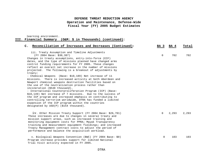learning environment. **III. Financial Summary (O&M: \$ in Thousands) (continued):**

| $\mathsf{C}$ . | Reconciliation of Increases and Decreases (Continued):                                                                                                                                                                                                                                                                                                                                                                                                                                                                                                                                                                                                                      | BA 3        | BA 4  | Total |
|----------------|-----------------------------------------------------------------------------------------------------------------------------------------------------------------------------------------------------------------------------------------------------------------------------------------------------------------------------------------------------------------------------------------------------------------------------------------------------------------------------------------------------------------------------------------------------------------------------------------------------------------------------------------------------------------------------|-------------|-------|-------|
|                | iii. Treaty Assumption and Timeline Adjustments<br>(FY 2004 Base: \$30,387)<br>Changes in treaty assumptions, entry-into-force (EIF)<br>dates, and the type of missions planned have changed arms<br>control funding requirements for FY 2005. These changes<br>reflect an overall net increase in the number of missions<br>projected. The following is a breakout of adjustments by<br>treaty:<br>- Chemical Weapons (Base: \$10,189) Net increase of 11<br>missions. There is increased activity at both Aberdeen and<br>Newport chemical weapons destruction facilities based on<br>the use of the neutralization process rather than<br>incineration (\$548 thousand). | $\Omega$    | 702   | 702   |
|                | - International Counterproliferation Program (ICP) (Base:<br>\$10,149) Net increase of 7 missions. Due to the success of<br>the ICP program and increased emphasis on contributing to<br>controlling terrorism worldwide, DTRA has funded a limited<br>expansion of the ICP program within the countries<br>designated by $USD(P)$ (\$154 thousand).                                                                                                                                                                                                                                                                                                                        |             |       |       |
|                | iv. Other Mission Treaty Support (FY 2004 Base: \$26,701)<br>These increases are due to changes in several treaty and<br>mission support areas, such as increased training and<br>monitoring equipment costs for PPRA; Mayak Transparency<br>training and measurement equipment fieldings; and increased<br>Treaty Management contract costs to adjust the period of<br>performance and balance the acquisition workload.                                                                                                                                                                                                                                                   | $\Omega$    | 2,293 | 2,293 |
|                | v. Biological Weapons Convention (BWC) (FY 2004 Base: \$0)<br>Program increase provides support for limited National<br>Trial Visit activity expected in FY 2005.                                                                                                                                                                                                                                                                                                                                                                                                                                                                                                           | $\mathbf 0$ | 103   | 103   |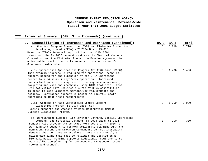| C. Reconciliation of Increases and Decreases (Continued):         | BA 3     | <b>BA 4</b> | Total |
|-------------------------------------------------------------------|----------|-------------|-------|
| vi. Chemical Weapons Convention (CWC) and Plutonium Production    |          |             | 3,710 |
| Reactor Agreement (PPRA) (FY 2004 Base: \$9,338)                  |          |             |       |
| Based on DTRA's internal reprioritization of FY 2004              |          |             |       |
| resources, the FY 2005 request restores the Chemical Weapons      |          |             |       |
| Convention and the Plutonium Production Reactor Agreement to      |          |             |       |
| a desirable level of activity so as not to compromise US          |          |             |       |
| Government interests.                                             |          |             |       |
| vii. Operational Applications Program (FY 2004 Base: \$976)       | $\Omega$ | 1,496       | 1,496 |
| This program increase is required for operational technical       |          |             |       |
| support needed for the expansion of the DTRA Operations           |          |             |       |
| Center to a 24 hour, 7 days/week operation. Increased             |          |             |       |
| contractual support is required for consequence assessment,       |          |             |       |
| targeting analyses and reachback using DTRA tool sets. Post       |          |             |       |
| 9/11 activities have required a surge of DTRA capabilities        |          |             |       |
| in order to meet Combatant Command/DoD requirements and           |          |             |       |
| demands. Contractor support is needed to backfill staff           |          |             |       |
| shortages to meet these requirements.                             |          |             |       |
| viii. Weapons of Mass Destruction Combat Support                  | $\Omega$ | 1,000       | 1,000 |
| Classified Program (FY 2004 Base: \$0)                            |          |             |       |
| Funding supports the Weapons of Mass Destruction Combat           |          |             |       |
| Support Classified Program.                                       |          |             |       |
| ix. Warplanning Support with Northern Command, Special Operations |          |             |       |
| Command, and Strategic Command (FY 2004 Base: \$1,252)            | 0        | 300         | 300   |
| Funding will provide two contract work years in FY 2005 for       |          |             |       |
| war planning support to perform deliberate planning with the      |          |             |       |
| NORTHCOM, SOCOM, and STRATCOM Commanders to meet increasing       |          |             |       |
| demands that continue to escalate. There are currently 67         |          |             |       |
| deliberate plans that must be reviewed and updated on a           |          |             |       |
| biennial basis. Funding supports additional requirements to       |          |             |       |
| work deliberate planning for Consequence Management issues        |          |             |       |
| (CONUS and OCONUS).                                               |          |             |       |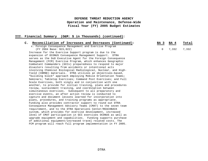### **III. Financial Summary (O&M: \$ in Thousands) (continued):**

serves as the DoD Executive Agent for the Foreign Consequence Management (FCM) Exercise Program, which enhances Geographic Combatant Commanders (GCCs) preparedness to respond to major

involving Chemical Biological Radiological, Nuclear, and High-Yield (CBRNE) materials. DTRA utilizes an objectives-based, "building block" approach employing Mobile Orientation Teams; Seminars; Tabletop Exercises; Command Post Exercises; and Full

another, to provide for initial training, plans and procedures

disasters resulting from accidents or intentional acts

Scale Exercises, both singly and in conjunction with one

requirement, and to the DTRA Operations Center/REACHBACK system, which provides for exercise development, increased level of CMAT participation in GCC exercises OCONUS as well as upgrade equipment and capabilities. Funding supports purchase of additional equipment/increased travel related costs. The FCM program will reach full program implementation in FY 2005.

review, sustainment training, and coordination between simultaneous exercises. Subsequent to all preparatory and exercise events, an after action review is conducted to capture and document lessons learned for incorporation into plans, procedures, and training programs as appropriate. Funding also provides contractor support to round out DTRA Consequence Management Advisory Teams (CMAT) to the seven team

| Reconciliation of Increases and Decreases (Continued):   | BA 3 | BA 4          | Total |
|----------------------------------------------------------|------|---------------|-------|
| x. Foreign Consequence Management and Exercise Program   |      |               |       |
| (FY 2004 Base: \$15,022)                                 |      | 0 7.332 7.332 |       |
| Increase for the Exercise Support program is due to the  |      |               |       |
| expansion of OCONUS Consequence Management Support. DTRA |      |               |       |

DTRA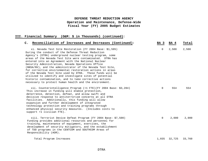| $\mathsf{C}$ .<br>Reconciliation of Increases and Decreases (Continued):                                                                                                                                                                                                                                                                                                                                                                                                                                                                                                                                                                                                                                                   | BA 3        | BA 4   | Total  |
|----------------------------------------------------------------------------------------------------------------------------------------------------------------------------------------------------------------------------------------------------------------------------------------------------------------------------------------------------------------------------------------------------------------------------------------------------------------------------------------------------------------------------------------------------------------------------------------------------------------------------------------------------------------------------------------------------------------------------|-------------|--------|--------|
| xi. Nevada Test Site Restoration (FY 2004 Base: \$1,595)<br>During the conduct of the Defense Threat Reduction<br>Agency's (DTRA) underground nuclear testing program, some<br>areas of the Nevada Test Site were contaminated. DTRA has<br>entered into an Agreement with the National Nuclear<br>Security Administration, Nevada Operations Office<br>(NNSA/NV), and the administrator of the Nevada Test Site,<br>for corrective environmental restoration actions in areas<br>of the Nevada Test Site used by DTRA. These funds will be<br>utilized to identify and investigate sites of potential<br>historic contamination, and to take corrective actions<br>necessary to protect human health and the environment. | 0           | 2,500  | 2,500  |
| xii. Counterintelligence Program (+1 FTE) (FY 2004 Base: \$3,284)<br>This increase in funding will enable protection,<br>deterrence, detection, defeat, and allow swift and<br>decisive response to antiterrorism concerns at all DTRA<br>facilities. Additionally, this funding will allow<br>expansion and further development of integrated<br>technology protection and training programs through<br>enhanced physical security measures. (Includes costs to<br>support +1 civilian FTE).                                                                                                                                                                                                                              | $\Omega$    | 554    | 554    |
| xiii. Terrorist Device Defeat Program (FY 2004 Base: \$7,500)<br>Funding provides additional resources and personnel for<br>training, maintenance of equipment, exercises, the<br>development of security mitigators, and the establishment<br>of TDD programs in the CENTCOM and SOUTHCOM Areas of<br>Responsibility (AOR).                                                                                                                                                                                                                                                                                                                                                                                               | $\mathbf 0$ | 2,000  | 2,000  |
| Total Program Increases                                                                                                                                                                                                                                                                                                                                                                                                                                                                                                                                                                                                                                                                                                    | 1,035       | 32,725 | 33,760 |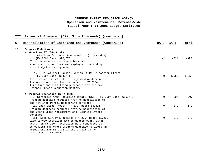| $\mathsf{C}$ . | Reconciliation of Increases and Decreases (Continued):              | BA 3     | BA 4     | Total    |
|----------------|---------------------------------------------------------------------|----------|----------|----------|
| 10.            | Program Reductions                                                  |          |          |          |
|                | a) One-Time FY 2004 Costs                                           |          |          |          |
|                | i. Civilian Personnel Compensation (1 less day)                     |          |          |          |
|                | (FY 2004 Base: \$96,676)                                            | $-2$     | $-324$   | $-326$   |
|                | This decrease reflects one less day of                              |          |          |          |
|                | compensation for civilian employees covered by                      |          |          |          |
|                | this budget activity group.                                         |          |          |          |
|                | ii. DTRA National Capital Region (NCR) Relocation Effort            |          |          |          |
|                | (FY 2004 Base: \$14,771)                                            | $\Omega$ | $-4.059$ | $-4,059$ |
|                | This reduction reflects a programmatic decrease                     |          |          |          |
|                | for one-time costs that occurred in FY 2004 for                     |          |          |          |
|                | furniture and outfitting purchases for the new                      |          |          |          |
|                | Defense Threat Reduction Center.                                    |          |          |          |
|                | b) Program Decreases in FY 2005                                     |          |          |          |
|                | i. Strategic Arms Reduction Treaty (START) (FY 2004 Base: \$10,775) | $\Omega$ | $-207$   | $-207$   |
|                | Program decrease resulted from re-negotiation of                    |          |          |          |
|                | the Votkinsk Portal Monitoring contract.                            |          |          |          |
|                | ii. Open Skies Treaty (FY 2004 Base: \$4,421)                       | $\Omega$ | $-179$   | $-179$   |
|                | Program decrease resulted from re-negotiation of                    |          |          |          |
|                | the Opens Skies Management and Planning System                      |          |          |          |
|                | contract.                                                           |          |          |          |
|                | iii. Site Survey Exercises (FY 2004 Base: \$1,252)                  | $\Omega$ | $-270$   | $-270$   |
|                | Site Survey Exercises are conducted every other                     |          |          |          |
|                | year. In FY 2004, exercises were conducted as                       |          |          |          |
|                | scheduled; therefore program decrease reflects an                   |          |          |          |
|                | adjustment for FY 2005 as there will be no                          |          |          |          |
|                | exercises in FY 2005.                                               |          |          |          |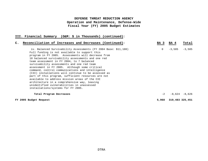| C. Reconciliation of Increases and Decreases (Continued):                                                                                                                                                                                                                                                                                                                                                                                                                                                                                                                                                                                 | BA 3           | <b>BA</b> 4     | Total           |
|-------------------------------------------------------------------------------------------------------------------------------------------------------------------------------------------------------------------------------------------------------------------------------------------------------------------------------------------------------------------------------------------------------------------------------------------------------------------------------------------------------------------------------------------------------------------------------------------------------------------------------------------|----------------|-----------------|-----------------|
| iv. Balanced Survivability Assessments (FY 2004 Base: \$11,100)<br>Full funding is not available to support this<br>program in FY 2005. Assessments will decrease from<br>18 balanced survivability assessments and one red<br>team assessment in FY 2004, to 7 balanced<br>survivability assessments and one red team<br>assessment in FY 2005. Although some critical<br>command, control communications and intelligence<br>(C3I) installations will continue to be assessed as<br>part of this program, sufficient resources are not<br>available to address mission areas of the C3I<br>architecture in a comprehensive way, leaving | $\overline{0}$ | $-3,585$        | $-3,585$        |
| unidentified vulnerabilities in unassessed<br>installations/systems for FY 2005.<br>Total Program Decreases                                                                                                                                                                                                                                                                                                                                                                                                                                                                                                                               | $-2$           |                 | $-8,624 -8,626$ |
| FY 2005 Budget Request                                                                                                                                                                                                                                                                                                                                                                                                                                                                                                                                                                                                                    | 5,968          | 319,483 325,451 |                 |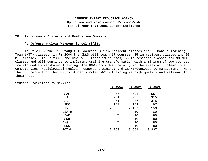### **IV. Performance Criteria and Evaluation Summary:**

#### **A. Defense Nuclear Weapons School (BA3):**

In FY 2003, the DNWS taught 15 courses, 37 in-resident classes and 20 Mobile Training Team (MTT) classes; in FY 2004 the DNWS will teach 17 courses, 45 in-resident classes and 25 MTT classes. In FY 2005, the DNWS will teach 19 courses, 65 in-resident classes and 30 MTT classes and will continue to implement training transformation with a minimum of two courses transformed to web-based training. The DNWS provides training in the areas of nuclear core competencies; radiological/nuclear response training; and CBRNE/Consequence Management. More than 80 percent of the DNWS's students rate DNWS's training as high quality and relevant to their jobs.

### Student Projection by Service:

|             | FY 2003 | FY 2004 | FY 2005 |
|-------------|---------|---------|---------|
|             |         |         |         |
| USAF        | 456     | 501     | 551     |
| USA         | 261     | 287     | 315     |
| USN         | 261     | 287     | 315     |
| <b>USMC</b> | 163     | 179     | 197     |
| CIV         | 2,053   | 2,127   | 2,159   |
| USAFR       | 7       | 40      | 80      |
| USAR        | 7       | 40      | 80      |
| <b>USNR</b> | 22      | 40      | 80      |
| ANG         | 7       | 40      | 80      |
| ARNG        | 22      | 40      | 80      |
| TOTAL       | 3,259   | 3,581   | 3,937   |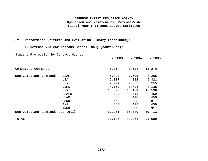## **IV. Performance Criteria and Evaluation Summary (continued):**

## **A. Defense Nuclear Weapons School (BA3) (continued):**

# Student Projection by Contact Hours:

|                                  | FY 2003 | FY 2004 | FY 2005 |
|----------------------------------|---------|---------|---------|
| Combatant Commands               | 43,204  | 47,524  | 52,276  |
| Non-Combatant Commands<br>USAF   | 6,823   | 7,505   | 8,255   |
| USA                              | 5,307   | 4,882   | 5,321   |
| USN                              | 2,274   | 2,069   | 2,255   |
| USMC                             | 4,169   | 3,793   | 4,135   |
| CIV                              | 16,672  | 15,171  | 16,536  |
| USAFR                            | 380     | 418     | 459     |
| USAR                             | 380     | 418     | 459     |
| USNR                             | 758     | 833     | 917     |
| ANG                              | 380     | 418     | 459     |
| ARNG                             | 758     | 833     | 917     |
| Non-combatant commands sub total | 37,901  | 36,340  | 39,713  |
| TOTAL                            | 81,105  | 83,864  | 91,989  |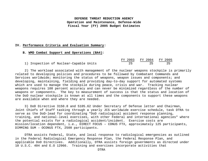### **IV. Performance Criteria and Evaluation Summary:**

#### **B. WMD Combat Support and Operations (BA4):**

|                                        | FY 2003 FY 2004 FY 2005 |  |
|----------------------------------------|-------------------------|--|
| 1) Inspection of Nuclear-Capable Units |                         |  |

 2) The workload associated with management of the nuclear weapons stockpile is primarily related to developing policies and procedures to be followed by Combatant Commands and Services worldwide; monitoring the status of weapons, weapon issues and components; and developing, maintaining, fielding and providing day-to-day support for automated systems which are used to manage the stockpile during peace, crisis and war. Tracking nuclear weapons requires 100 percent accuracy and can never be minimized regardless of the number of weapons or components. The key to measurement of success is that the status and location of the DoD nuclear stockpile is known at all times and the components to support these weapons are available when and where they are needed.

3) DoD Directive 3150.8 and 5105.62 Under Secretary of Defense letter and Chairman, Joint Chiefs of Staff tasking through a yearly JCS worldwide exercise schedule, task DTRA to serve as the DoD-lead for coordinating "DoD radiological accident response planning, training, and national-level exercises, with other Federal and international agencies" where the potential exists for a radiological accident/incident. Exercise costs are mission/location dependent, i.e., DIRECT FOCUS – CONUS FTX, approximately 125 participants, DIMMING SUM – OCONUS FTX, 2500 participants.

DTRA assists Federal, State, and local response to radiological emergencies as outlined in the Federal Radiological Emergency Response Plan, the Federal Response Plan, and applicable DoD Directives. Additionally, DTRA assists foreign governments as directed under 10 U.S.C. 404 and E.O 12966. Training and exercises incorporate activities that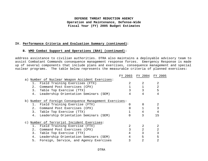### **IV. Performance Criteria and Evaluation Summary (continued):**

### **B. WMD Combat Support and Operations (BA4) (continued):**

address assistance to civilian authorities. DTRA also maintains a deployable advisory team to assist Combatant Commands consequence management response forces. Emergency Response is made up of several components that include plans and exercises, consequence management and special nuclear programs. The table below represents the measurable criteria of planned exercises:

|    |                                                        | FY 2003 | FY 2004 | FY 2005 |
|----|--------------------------------------------------------|---------|---------|---------|
|    | a) Number of Nuclear Weapon Accident Exercises:        |         |         |         |
|    | Field Training Exercises (FTX)                         |         | 2       | 2       |
| 2. | Command Post Exercises (CPX)                           |         |         | 2       |
| 3. | Table Top Exercise (TTX)                               |         |         | 5       |
| 4. | Leadership Orientation Seminars (SEM)                  |         | 4       |         |
|    | b) Number of Foreign Consequence Management Exercises: |         |         |         |
|    | 1. Field Training Exercise (FTX)                       |         |         | 2       |
|    | 2. Command Post Exercises (CPX)                        |         |         |         |
| 3. | Table Top Exercise (TTX)                               |         |         |         |
| 4. | Leadership Orientation Seminars (SEM)                  |         |         | 15      |
|    | c) Number of Terrorist Incident Exercises:             |         |         |         |
| 1. | Field Training Exercise (FTX)                          | 2       |         | 2       |
| 2. | Command Post Exercises (CPX)                           |         | 2       | 2       |
| 3. | Table Top Exercise (TTX)                               | 4       | 3       | 3       |
| 4. | Leadership Orientation Seminars (SEM)                  | 4       | 5       | 5       |
| 5. | Foreign, Service, and Agency Exercises                 |         | 2       |         |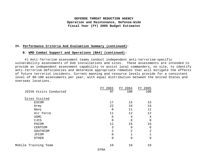### **IV. Performance Criteria And Evaluation Summary (continued):**

#### **B. WMD Combat Support and Operations (BA4) (continued):**

4) Anti-Terrorism assessment teams conduct independent anti-terrorism-specific vulnerability assessments of DoD installations and sites. These assessments are intended to provide an independent assessment capability to assist local commanders, on site, to identify anti-terrorism deficiencies and determine appropriate remedies that will mitigate the effects of future terrorist incidents. Current manning and resource levels provide for a consistent level of 80-100 assessments per year, with equal distribution between the United States and overseas locations.

|                        | FY 2003     | FY 2004        | FY 2005 |
|------------------------|-------------|----------------|---------|
| JSIVA Visits Conducted | 97          | 100            | 100     |
| Sites Visited          |             |                |         |
| <b>EUCOM</b>           | 17          | 15             | 15      |
| Army                   | 22          | 16             | 16      |
| Navy                   | 8           | 11             | 11      |
| Air Force              | 11          | 12             | 12      |
| <b>USMC</b>            | 5           | 4              | 4       |
| CJCS                   | 8           | 8              | 8       |
| PACOM                  | 12          | 16             | 16      |
| CENTCOM                | 3           | 6              | 6       |
| SOUTHCOM               | 2           | $\overline{2}$ | 2       |
| <b>JFCOM</b>           | $\mathbf 0$ |                |         |
| <b>OTHER</b>           | 9           | 9              | 9       |
| Mobile Training Team   | 10          | 10             | 10      |
|                        |             |                |         |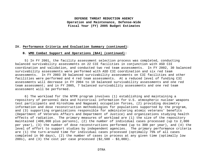### **IV. Performance Criteria and Evaluation Summary (continued):**

### **B. WMD Combat Support and Operations (BA4) (continued):**

5) In FY 2001, the facility assessment selection process was completed, conducting balanced survivability assessments on 22 C3I facilities in conjunction with ASD C3I coordination and validation, and conducted two red team assessments. In FY 2002, 30 balanced survivability assessments were performed with ASD C3I coordination and six red team assessments. In FY 2003 39 balanced survivability assessments on C3I facilities and other facilities were performed and 4 red team assessments. At a reduced level of funding C3I assessments will decrease in FY 2004 to 18 balanced survivability assessments and one red team assessment; and in FY 2005, 7 balanced survivability assessments and one red team assessment will be performed.

6) The workload for the NTPR program involves (1) establishing and maintaining a repository of personnel data and historical information for U.S. atmospheric nuclear weapons test participants and Hiroshima and Nagasaki occupation forces, (2) providing dosimetry information and dose reconstruction methodologies for populations supported by the program, and (3) supporting organizations responsible for administering atomic veterans' benefits (Department of Veterans Affairs and Department of Justice) and organizations studying health effects of radiation. The primary measures of workload are (1) the size of the repository maintained (400,000 plus persons), (2) the number of individual cases processed (up to 2,000 per year), (3) the number of dose reconstructions performed (up to 300 per year), and (4) the level of effort to support studies by independent agencies. The primary performance criteria are (1) the turn-around time for individual cases processed (optimally 75% of all cases completed in 90 days), (2) the number of cases in process at any given time (optimally low  $200s$ , and  $(3)$  the cost per case processed  $(52,500 - 53,000)$ .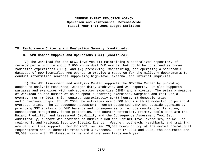#### **IV. Performance Criteria and Evaluation Summary (continued):**

#### **B. WMD Combat Support and Operations (BA4) (continued):**

7) The workload for the RECC involves (1) maintaining a centralized repository of records pertaining to about 2,600 individual DoD events that could be construed as human radiation experiments (HRE), and (2) preserving, maintaining, and operating a searchable database of DoD-identified HRE events to provide a resource for the military departments to conduct information searches supporting high-level external and internal inquiries.

8) The WMD Assessment and Analysis Center supports the OC-DTRA Center by providing access to analytic resources, weather data, archives, and WMD experts. It also supports wargames and exercises with subject-matter expertise (SME) and analysis. The primary measure of workload is the number of hours spent supporting exercises, wargames and real-world events. For FY 2003, this required approximately 6,400 hours, 18 domestic trips and 5 overseas trips. For FY 2004 the estimates are 6,500 hours with 20 domestic trips and 4 overseas trips. The Consequence Assessment Program supported DTRA and outside agencies by providing SME analysis on WMD hazards and consequences to include counterproliferation, consequence management, force protection, and counter-terrorism. Primary tools used are the Hazard Prediction and Assessment Capability and the Consequence Assessment Tool Set. Additionally, support was provided to numerous DoD and Cabinet-level exercises, as well as real-world and National Security Special Events. Weather, outreach, reachback, and training are part of this support. For FY 2003, we used 20,000 hours on top of the normal operational requirements and 20 domestic trips with 3 overseas. For FY 2004 and 2005, the estimates are 30,000 hours with 25 domestic trips and 4 overseas trips each year.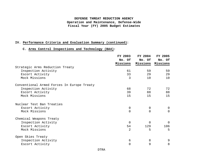## **IV. Performance Criteria and Evaluation Summary (continued):**

## **C. Arms Control Inspections and Technology (BA4):**

|                                            | FY 2003     | FY 2004     | <b>FY 2005</b>    |
|--------------------------------------------|-------------|-------------|-------------------|
|                                            | No. Of      | No. Of      | No. Of            |
|                                            | Missions    |             | Missions Missions |
| Strategic Arms Reduction Treaty            |             |             |                   |
| Inspection Activity                        | 61          | 59          | 59                |
| Escort Activity                            | 33          | 29          | 29                |
| Mock Missions                              | 3           | 10          | 10                |
| Conventional Armed Forces In Europe Treaty |             |             |                   |
| Inspection Activity                        | 68          | 72          | 72                |
| Escort Activity                            | 39          | 88          | 88                |
| Mock Missions                              | 15          | 15          | 15                |
| Nuclear Test Ban Treaties                  |             |             |                   |
| Escort Activity                            | $\mathbf 0$ | 0           | $\overline{0}$    |
| Mock Missions                              | $\Omega$    | $\Omega$    | $\Omega$          |
| Chemical Weapons Treaty                    |             |             |                   |
| Inspection Activity                        | $\mathbf 0$ | $\mathbf 0$ | $\Omega$          |
| Escort Activity                            | 54          | 129         | 106               |
| Mock Missions                              | 2           | 5           | 5                 |
| Open Skies Treaty                          |             |             |                   |
| Inspection Activity                        | 6           | 8           | 9                 |
| Escort Activity                            | 0           | 9           | 8                 |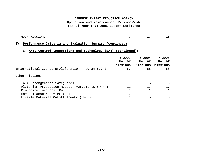Mock Missions 7 17 16

# **IV. Performance Criteria and Evaluation Summary (continued):**

# **C. Arms Control Inspections and Technology (BA4) (continued):**

|                                                  | FY 2003  | FY 2004  | <b>FY 2005</b> |
|--------------------------------------------------|----------|----------|----------------|
|                                                  | No. Of   | No. Of   | No. Of         |
|                                                  | Missions | Missions | Missions       |
| International Counterproliferation Program (ICP) | 60       | 58       | 58             |
| Other Missions                                   |          |          |                |
| IAEA-Strengthened Safeguards                     |          | 5        | 8              |
| Plutonium Production Reactor Agreements (PPRA)   | 11       | 17       | 17             |
| Biological Weapons (BW)                          |          |          |                |
| Mayak Transparency Protocol                      |          | 11       |                |
| Fissile Material Cutoff Treaty (FMCT)            |          | 5        | 5.             |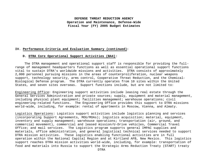### **IV. Performance Criteria and Evaluation Summary (continued):**

#### **D. DTRA Core Operational Support Activities (BA4):**

 The DTRA management and operational support staff is responsible for providing the fullrange of management headquarters functions as well as essential operational support functions vital to sustain DTRA's worldwide missions and activities. DTRA consists of approximately 2,000 personnel pursuing missions in the areas of counterproliferation, nuclear weapons support, technology security, arms control, Cooperative Threat Reduction, and the Chemical-Biological Defense program. The DTRA currently operates from 10 sites within the United States, and seven sites overseas. Support functions include, but are not limited to:

Engineering Office: Engineering support activities include leasing real estate through the General Services Administration and private sources; supply, equipment and material management, including physical plant equipment; facilities management; warehouse operations; civil engineering-related functions. The Engineering Office provides this support to DTRA missions world-wide, including, for example: rental of apartments in Moscow, Vienna, and Almaty.

Logistics Operations: Logistics support activities include logistics planning and services (incorporating Support Agreements, MOU/MOAs); logistics acquisition; material, equipment, inventory and supply management; warehouse operations; transportation (air, ground, and commercial movement), commercial and leased mission/U-Drive vehicles, Commercial Travel Office; and mail services. The Logistics program supports general IMPAC supplies and materials, office administration, and general logistical technical services needed to support DTRA mission activities. These logistics enabling functional activities are in full operation within the National Capital Region and at Kirtland AFB, New Mexico. This logistics support reaches DTRA mission activities world-wide, including, for example: transportation of food and materials into Russia to support the Strategic Arms Reduction Treaty (START) treaty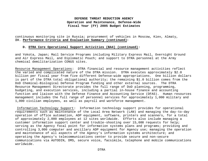continuous monitoring site in Russia; procurement of vehicles in Moscow, Kiev, Almaty, **IV. Performance Criteria and Evaluation Summary (continued):**

### **D. DTRA Core Operational Support Activities (BA4) (continued):**

and Yokota, Japan; Mail Service Programs including Military Express Mail, Overnight Ground and Air Express Mail, and Diplomatic Pouch; and support to DTRA personnel at the Army chemical demilitarization CONUS sites.

Resource Management Operations: DTRA financial and resource management activities reflect the varied and complicated nature of the DTRA mission. DTRA executes approximately \$2.0 billion per fiscal year from five different Defense-wide appropriations. One billion dollars is part of the DTRA total obligational authority; the remaining \$1.0 billion comes from the DoD Chemical-Biological Defense Program funding and other external sources. The DTRA Resource Management Directorate provides the full range of DoD planning, programming, budgeting, and execution services, including a partial in-house finance and accounting function and liaison with the Defense Finance and Accounting Service (DFAS). Human resources management includes the full range of personnel services for approximately 1,000 military and 1,000 civilian employees, as well as payroll and workforce management.

Information Technology Support: Information technology support provides for operational requirements such as maintenance of the Local Area Network (LAN) and managing the day-to-day operation of office automation, ADP equipment, software, printers and scanners, for a total of approximately 2,000 employees at 12 sites worldwide. Efforts also include managing a customer information support center and trouble-shooting over 15,000 requests for help; serving as the Agency focal point for information systems plans and programs; providing and controlling 3,000 computer and ancillary ADP equipment for Agency use; managing the operation and maintenance of all aspects of the Agency's information systems architecture; and operating the Agency's telecommunications center to provide secure and non-secure communications via AUTODIN, DMS, secure voice, facsimile, telephone and mobile communications worldwide.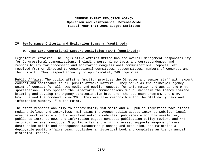## **IV. Performance Criteria and Evaluation Summary (continued):**

### **D. DTRA Core Operational Support Activities (BA4) (continued):**

Legislative Affairs: The Legislative Affairs Office has the overall management responsibility for Congressional communications, including personal contacts and correspondence, and responsibility for processing and monitoring Congressional communications, reports, etc., received from or directed to Congressional committees, subcommittees, members of Congress and their staff. They respond annually to approximately 240 inquiries.

Public Affairs: The public affairs function provides the Director and senior staff with expert counsel and assistance in all public affairs matters. They serve as the principal agency point of contact for all news media and public requests for information and act as the DTRA spokesperson. They sponsor the Director's Communications Group, maintain the Agency command briefing and develop the Agency strategic plan brochure, the outreach program, the DTRA brochure and the command video/CD. They are also responsible for the DTRA daily news and information summary, "To the Point."

The staff responds annually to approximately 150 media and 430 public inquiries; facilitates media briefings and interviews; maintains the Agency public access Internet website, localarea network website and 3 classified network websites; publishes a monthly newsletter; publishes intranet news and information pages; conducts publication policy reviews and 440 security reviews; conducts 15 public affairs training classes; supports weapons of mass destruction crisis and consequence management planning and execution, and maintains a deployable public affairs team; publishes a historical book and completes an Agency annual historical report.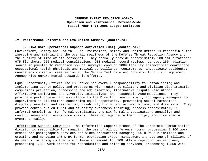### **IV. Performance Criteria and Evaluation Summary (continued):**

### **D. DTRA Core Operational Support Activities (BA4) (continued):**

Environment, Safety and Health: The Environment, Safety and Health Office is responsible for improving and maintaining the overall readiness of the Defense Threat Reduction Agency and the quality of life of its personnel. They annually provide approximately 500 immunizations; 975 flu shots; 250 medical consultations; 900 medical record reviews; conduct 250 radiation source shipments; 16 radiation source surveys; conduct 100% facility inspections; coordinate occupational health physicals and medical surveillance requirements; investigate accidents; manage environmental remediation at the Nevada Test Site and Johnston Atoll; and implement Agency-wide environmental stewardship efforts.

Equal Opportunity Office: The EO Office has overall responsibility for establishing and implementing agency policy and procedures with regard to military and civilian discrimination complaints prevention, processing and adjudication; Alternative Dispute Resolution; Affirmative Employment and Diversity initiatives; and Reasonable Accommodations. They provide expert counsel and assistance to the Director, senior staff, and agency managers and supervisors in all matters concerning equal opportunity, preventing sexual harassment, dispute prevention and resolution, disability hiring and accommodations, and diversity. They provide continuous cultural and diversity awareness training; process approximately 25 informal complaints, ten formal complaints, and six formal investigations annually; and conduct seven staff assistance visits, three college recruitment trips, and five special events annually.

Information Support Services: The Information Support branch of the Corporate Communication division is responsible for managing the use of all conference rooms; processing 1,100 work orders for photographic services and video production; managing 200 DTRA publications and creating and managing 140 DTRA forms; overseeing proper management and storage of millions of documents; managing contracts and lease agreement for 100 office reproduction machines, processing 1,300 work orders for reproduction and printing services; processing 1,550 work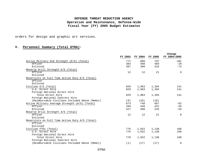orders for design and graphic art services.

## **V. Personnel Summary (Total DTRA):**

|                                                 | FY 2003 | FY 2004 | FY 2005 | Change<br>FY 2004/2005 |
|-------------------------------------------------|---------|---------|---------|------------------------|
| Active Military End Strength (E/S) (Total)      | 771     | 888     | 787     | $-101$                 |
| Officer                                         | 384     | 498     | 469     | $-29$                  |
| Enlisted                                        | 387     | 390     | 318     | $-72$                  |
| Reserve Drill Strength E/S (Total)              |         |         |         |                        |
| Officer                                         | 12      | 12      | 21      | 9                      |
| Enlisted                                        |         |         |         |                        |
| Reservists on Full Time Active Duty E/S (Total) |         |         |         |                        |
| Officer                                         |         |         |         |                        |
| Enlisted                                        |         |         |         |                        |
| Civilian E/S (Total)                            | 829     | 1,063   | 1,204   | 141                    |
| U.S. Direct Hire                                | 829     | 1,063   | 1,204   | 141                    |
| Foreign National Direct Hire                    |         |         |         |                        |
| Total Direct Hire                               | 829     | 1,063   | 1,204   | 141                    |
| Foreign National Indirect Hire                  |         |         |         |                        |
| (Reimbursable Civilians Included Above (Memo))  | (9)     | (18)    | (18)    |                        |
| Active Military Average Strength (A/S) (Total)  | 673     | 748     | 667     | $-82$                  |
| Officer                                         | 346     | 448     | 422     | $-26$                  |
| Enlisted                                        | 327     | 300     | 245     | $-55$                  |
| Reserve Drill Strength A/S (Total)              |         |         |         |                        |
| Officer                                         | 12      | 12      | 21      | 9                      |
| Enlisted                                        |         |         |         |                        |
| Reservists on Full Time Active Duty A/S (Total) |         |         |         |                        |
| Officer                                         |         |         |         |                        |
| Enlisted                                        |         |         |         |                        |
| Civilian FTEs (Total)                           | 776     | 1,022   | 1,130   | 108                    |
| U.S. Direct Hire                                | 776     | 1,022   | 1,130   | 108                    |
| Foreign National Direct Hire                    |         |         |         |                        |
| Total Direct Hire                               | 776     | 1,022   | 1,130   | 108                    |
| Foreign National Indirect Hire                  |         |         |         |                        |
| (Reimbursable Civilians Included Above (Memo))  | (1)     | (17)    | (17)    | 0                      |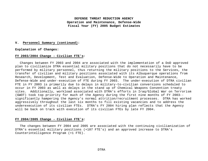#### **V. Personnel Summary (continued):**

#### **Explanation of Changes:**

#### **FY 2003/2004 Change - Civilian FTE's:**

 Changes between FY 2003 and 2004 are associated with the implementation of a DoD approved plan to civilianize DTRA essential military positions that do not necessarily have to be performed by military personnel, thus returning the military positions to the Services, the transfer of civilian and military positions associated with its Albuquerque operations from Research, Development, Test and Evaluation, Defense-Wide to Operation and Maintenance, Defense-Wide and under-execution of FTE during FY 2003. The under-execution of DTRA civilian FTE in FY 2003 is primarily due to delays in military-to-civilian conversions scheduled to occur in FY 2003 as well as delays in the stand up of Chemical Weapons Convention treaty sites. Additionally, workload associated with DTRA's efforts in Iraq/Global War on Terrorism (GWOT) took top priority for much of the Agency during the first nine months of FY 2003- significantly hampering the Agency's normal attrition/recruitment processes. DTRA has worked aggressively throughout the last six months to fill existing vacancies and to address the underexecution of its civilian FTEs. DTRA's FY 2004 hiring plan reflects that the Agency will be back on track with execution of its civilian FTEs by late FY 2004.

#### **FY 2004/2005 Change - Civilian FTE's:**

 The changes between FY 2004 and 2005 are associated with the continuing civilianization of DTRA's essential military positions (+107 FTE's) and an approved increase to DTRA's Counterintelligence Program (+1 FTE).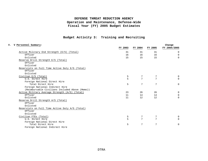# **Budget Activity 3: Training and Recruiting**

| V Personnel Summary:                            | Change  |         |                |              |  |
|-------------------------------------------------|---------|---------|----------------|--------------|--|
|                                                 | FY 2003 | FY 2004 | FY 2005        | FY 2004/2005 |  |
| Active Military End Strength (E/S) (Total)      | 31      | 31      | 31             | $\Omega$     |  |
| Officer                                         | 16      | 16      | 16             | $\Omega$     |  |
| Enlisted                                        | 15      | 15      | 15             | $\Omega$     |  |
| Reserve Drill Strength E/S (Total)              |         |         |                |              |  |
| Officer                                         |         |         |                |              |  |
| Enlisted                                        |         |         |                |              |  |
| Reservists on Full Time Active Duty E/S (Total) |         |         |                |              |  |
| Officer                                         |         |         |                |              |  |
| Enlisted                                        |         |         |                |              |  |
| Civilian E/S (Total)                            | 5       | 7       | 7              | 0            |  |
| U.S. Direct Hire                                | 5       | 7       | 7              | $\Omega$     |  |
| Foreign National Direct Hire                    |         |         |                |              |  |
| Total Direct Hire                               | 5       | 7       | 7              | $\Omega$     |  |
| Foreign National Indirect Hire                  |         |         |                |              |  |
| (Reimbursable Civilians Included Above (Memo))  |         |         |                |              |  |
| Active Military Average Strength (A/S) (Total)  | 23      | 26      | 26             | $\Omega$     |  |
| Officer                                         | 11      | 14      | 14             | $\Omega$     |  |
| Enlisted                                        | 11      | 12      | 12             | $\Omega$     |  |
| Reserve Drill Strength A/S (Total)              |         |         |                |              |  |
| Officer                                         |         |         |                |              |  |
| Enlisted                                        |         |         |                |              |  |
| Reservists on Full Time Active Duty A/S (Total) |         |         |                |              |  |
| Officer                                         |         |         |                |              |  |
| Enlisted                                        |         |         |                |              |  |
| Civilian FTEs (Total)                           | 5       |         | 7              | 0            |  |
| U.S. Direct Hire                                |         | 7       | $\overline{7}$ | $\cap$       |  |
| Foreign National Direct Hire                    |         |         |                |              |  |
| Total Direct Hire                               | 5       | 7       | 7              | $\Omega$     |  |
| Foreign National Indirect Hire                  |         |         |                |              |  |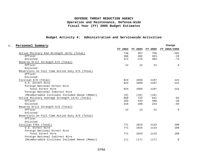# **Budget Activity 4: Administration and Servicewide Activities**

| Personnel Summary:                              |     |                         |      | Change       |
|-------------------------------------------------|-----|-------------------------|------|--------------|
|                                                 |     | FY 2003 FY 2004 FY 2005 |      | FY 2004/2005 |
| Active Military End Strength (E/S) (Total)      | 740 | 857                     | 756  | $-101$       |
| Officer                                         | 368 | 482                     | 453  | $-29$        |
| Enlisted                                        | 372 | 375                     | 303  | $-72$        |
| Reserve Drill Strength E/S (Total)              |     |                         |      |              |
| Officer                                         | 12  | 12                      | 21   | 9            |
| Enlisted                                        |     |                         |      |              |
| Reservists on Full Time Active Duty E/S (Total) |     |                         |      |              |
| Officer                                         |     |                         |      |              |
| Enlisted                                        |     |                         |      |              |
| Civilian E/S (Total)                            | 824 | 1056                    | 1197 | 141          |
| U.S. Direct Hire                                | 824 | 1056                    | 1197 | 141          |
| Foreign National Direct Hire                    |     |                         |      |              |
| Total Direct Hire                               | 824 | 1056                    | 1197 | 141          |
| Foreign National Indirect Hire                  |     |                         |      |              |
| (Reimbursable Civilians Included Above (Memo))  | (9) | (18)                    | (18) |              |
| Active Military Average Strength (A/S) (Total)  | 650 | 722                     | 641  | $-82$        |
| Officer                                         | 335 | 434                     | 408  | $-26$        |
| Enlisted                                        | 316 | 288                     | 233  | $-55$        |
| Reserve Drill Strength A/S (Total)              |     |                         |      |              |
| Officer                                         | 12  | 12                      | 21   | 9            |
| Enlisted                                        |     |                         |      |              |
| Reservists on Full Time Active Duty A/S (Total) |     |                         |      |              |
| Officer                                         |     |                         |      |              |
| Enlisted                                        |     |                         |      |              |
| Civilian FTEs (Total)                           | 771 | 1015                    | 1123 | 108          |
| U.S. Direct Hire                                | 771 | 1015                    | 1123 | 108          |
| Foreign National Direct Hire                    |     |                         |      |              |
| Total Direct Hire                               | 771 | 1015                    | 1123 | 108          |
| Foreign National Indirect Hire                  |     |                         |      |              |
| (Reimbursable Civilians Included Above (Memo))  | (1) | (17)                    | (17) | $\mathbf 0$  |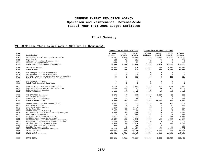### **Total Summary**

### **VI. OP32 Line Items as Applicable (Dollars in Thousands):**

|              |                                                                       | Changes from FY 2003 to FY 2004<br>Changes from FY 2004 to FY 2005 |                |                     |                |                |               |                |
|--------------|-----------------------------------------------------------------------|--------------------------------------------------------------------|----------------|---------------------|----------------|----------------|---------------|----------------|
| Line         |                                                                       | FY 2003                                                            | Price          | Program             | FY 2004        | Price          | Program       | FY 2005        |
| Item         | Description                                                           | Actuals                                                            | Growth         | Growth              | Estimate       | Growth         | Growth        | Estimate       |
| 0101         | Executive, General and Special Schedules                              | 70,697                                                             | 2,898          | 22,309              | 95,904         | 2,113          | 10,506        | 108,523        |
| 0103         | Wage Board                                                            | 265                                                                | 10             | 197                 | 472            | 11             | $^{\circ}$    | 483            |
| 0107         | Voluntary Separation Incentive Pay                                    | 739                                                                | $\circ$        | $-739$              | $\mathbf 0$    | $\mathbf 0$    | $\circ$       | $\mathbf{0}$   |
| 0111         | Disability Compensation                                               | 239                                                                | $^{\circ}$     | 61                  | 300            | $\Omega$       | $^{\circ}$    | 300            |
| 0199         | Total Civilian Personnel Compensation                                 | 71,940                                                             | 2,908          | 21,828              | 96,676         | 2,124          | 10,506        | 109,306        |
| 0308         | Travel of Persons                                                     | 15,886                                                             | 206            | 875                 | 16,967         | 237            | 1,510         | 18,714         |
| 0399         | Total Travel                                                          | 15,886                                                             | 206            | 875                 | 16,967         | 237            | 1,510         | 18,714         |
| 0401         | GSA Managed Supplies & Materials                                      | 6                                                                  | $^{\circ}$     | -6                  | $^{\circ}$     | $\Omega$       | $^{\circ}$    | $^{\circ}$     |
| 0416         | GSA Managed Supplies & Materials                                      | 28                                                                 | $\mathbf 0$    | $-28$               | $\mathbf 0$    | $\Omega$       | $\circ$       | $\mathbf{0}$   |
| 0417         | Locally Procured DoD Centrally Managed Supplies                       | 55                                                                 | $\mathbf{1}$   | 239                 | 295            | $\overline{4}$ | 114           | 413            |
| 0499         | Total Fund Supplies & Materials Purchases                             | 89                                                                 | $\mathbf{1}$   | 205                 | 295            | 4              | 114           | 413            |
| 0507         | GSA Managed Equipment                                                 | $\mathbf 0$                                                        | $\circ$        | $\circ$             | $\mathbf 0$    | $\mathbf 0$    | $\mathbb O$   | $\mathbb O$    |
| 0599         | Total Fund Equipment Purchases                                        | $\Omega$                                                           | $\mathbf 0$    | $\mathbf 0$         | 0              | $\mathbf 0$    | $\mathbf 0$   | $\mathbf 0$    |
| 0671         | Communications Services (DISA) Tier 2                                 | 3,720                                                              | $\mathbb O$    | 2,605               | 6,325          | $-65$          | $-534$        | 5,726          |
| 0673         | Defense Financing and Accounting Service                              | 1,560                                                              | 222            | 95                  | 1,877          | 46             | 166           | 2,089          |
| 0678         | Defense Security Service                                              | $\mathbf{0}$                                                       | $\circ$        | $\circ$             | $\mathbf{0}$   | $\overline{0}$ | $\circ$       | $\overline{0}$ |
| 0699         | Total Purchases                                                       | 5,280                                                              | 222            | 2,700               | 8,202          | $-19$          | $-368$        | 7,815          |
| 0703         | AMC SAAM/JCS Exercises                                                | 3,572                                                              | $-47$          | $-805$              | 2,720          | $-1,697$       | $-35$         | 988            |
| 0720         | DSC Pounds Delivered                                                  | 2                                                                  | $^{\circ}$     | $-2$                | $^{\circ}$     | $\Omega$       | $^{\circ}$    | $\Omega$       |
| 0771         | Commercial Transportation                                             | 229                                                                | 2              | 250                 | 481            | 7              | $^{\circ}$    | 488            |
| 0799         | Total Transportation                                                  | 3,803                                                              | $-45$          | $-557$              | 3,201          | $-1,690$       | $-35$         | 1,476          |
| 0912         | Rental Payments to GSA Leases (SLUC)                                  | 2,075                                                              | 35             | 30                  | 2,140          | 32             | 122           | 2,294          |
| 0913         | Purchased Utilities                                                   | 230                                                                | $\overline{3}$ | 7                   | 240            | $\overline{3}$ | 21            | 264            |
| 0914         | Purchased Communications                                              | 2,814                                                              | 36             | $-2,172$            | 678            | 9              | $\circ$       | 687            |
| 0915         | Rents (Non-GSA)                                                       | 1,791                                                              | 23             | $-1,404$            | 410            | 6              | 91            | 507            |
| 0917         | Postal Services (U.S.P.S.)                                            | 215                                                                | $\circ$        | $-13$               | 202            | $^{\circ}$     | $\circ$       | 202            |
| 0920         | Supplies & Materials (Non-centrally managed)                          | 5,380                                                              | 67             | $-2,469$            | 2,978          | 40             | 66            | 3,084          |
| 0921         | Printing & Reproduction                                               | 9                                                                  | $\circ$        | 860                 | 869            | 12<br>24       | $-9$          | 872            |
| 0922<br>0923 | Equipment Maintenance by Contract<br>Facility Maintenance by Contract | 2,877<br>1,532                                                     | 36<br>20       | $-1, 132$<br>$-510$ | 1,781<br>1,042 | 14             | 344<br>$-224$ | 2,149<br>832   |
| 0925         | Equipment Purchases (Non-centrally managed)                           | 10,481                                                             | 135            | $-3,279$            | 7,337          | 102            | 6,026         | 13,465         |
| 0932         | Management & Professional Support Services                            | 1,072                                                              | 14             | $-1,086$            | $\Omega$       | $^{\circ}$     | $^{\circ}$    | $\Omega$       |
| 0933         | Studies, Analysis, & Evaluations                                      | 5,405                                                              | 70             | $-1,816$            | 3,659          | 51             | $-20$         | 3,690          |
| 0934         | Engineering Technical Services                                        | 496                                                                | 6              | 77                  | 579            | 9              | 7             | 595            |
| 0937         | Locally Purchased Fuel                                                | 6                                                                  | $\overline{0}$ | 780                 | 786            | 26             | 93            | 905            |
| 0987         | Other Intra-governmental Purchases                                    | 68,552                                                             | 889            | $-53.084$           | 16,357         | 228            | 6,506         | 23,091         |
| 0989         | Other Contracts                                                       | 122,621                                                            | 1,598          | $-48,786$           | 75,433         | 1,056          | 961           | 77,450         |
| 0998         | Other Costs                                                           | 37,637                                                             | 487            | 13,718              | 51.842         | 725            | 5,073         | 57,640         |
| 0999         | Total Other Purchases                                                 | 263,193                                                            | 3,419          | $-100, 27$          | 166,333        | 2,337          | 19,057        | 187,727        |
| 9999         | <b>GRAND TOTAL</b>                                                    | 360,191                                                            | 6,711          | $-75,228$           | 291,674        | 2,993          | 30,784        | 325,451        |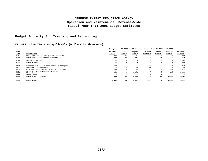# **Budget Activity 3: Training and Recruiting**

### **VI. OP32 Line Items as Applicable (Dollars in Thousands):**

| Line                 |                                                                                   | Changes from FY 2003 to FY 2004 |                 |                   | Changes from FY 2004 to FY 2005 |                 |                        |                     |
|----------------------|-----------------------------------------------------------------------------------|---------------------------------|-----------------|-------------------|---------------------------------|-----------------|------------------------|---------------------|
|                      | Description                                                                       | FY 2003<br>Actuals              | Price<br>Growth | Program<br>Growth | FY 2004<br>Estimate             | Price<br>Growth | Program<br>Growth      | FY 2005<br>Estimate |
| Item<br>0101<br>0199 | Executive, General and Special Schedules<br>Total Civilian Personnel Compensation | 344<br>344                      | 14<br>14        | 307<br>307        | 665<br>665                      | 18<br>18        | $-2$<br>$-2$           | 681<br>681          |
| 0308<br>0399         | Travel of Persons<br>Total Travel                                                 | 99<br>99                        |                 | 170<br>170        | 270<br>270                      |                 | $^{\circ}$<br>$\Omega$ | 274<br>274          |
| 0920                 | Supplies & Materials (Non-centrally managed)                                      | 172                             | 2               | $-74$             | 100                             |                 |                        | 101                 |
| 0921                 | Printing & Reproduction                                                           | $\mathbf 0$                     | $\Omega$        | 85                | 85                              |                 |                        | 86                  |
| 0925                 | Equipment Purchases (Non-centrally managed)                                       | 146                             | 2               | 155               | 303                             |                 | 558                    | 865                 |
| 0987                 | Other Intra-governmental Purchases                                                | 31                              |                 | $-31$             |                                 |                 |                        | $\circ$             |
| 0989                 | Other Contracts                                                                   | 609                             | 8               | 2,819             | 3,436                           | 48              | 472                    | 3,956               |
| 0998                 | Other Costs                                                                       |                                 |                 |                   |                                 |                 |                        |                     |
| 0999                 | Total Other Purchases                                                             | 958                             | 12              | 2,954             | 3,924                           | 54              | 1,035                  | 5,013               |
| 9999                 | GRAND TOTAL                                                                       | 1,401                           | 27              | 3,431             | 4,859                           | 76              | 1,033                  | 5,968               |